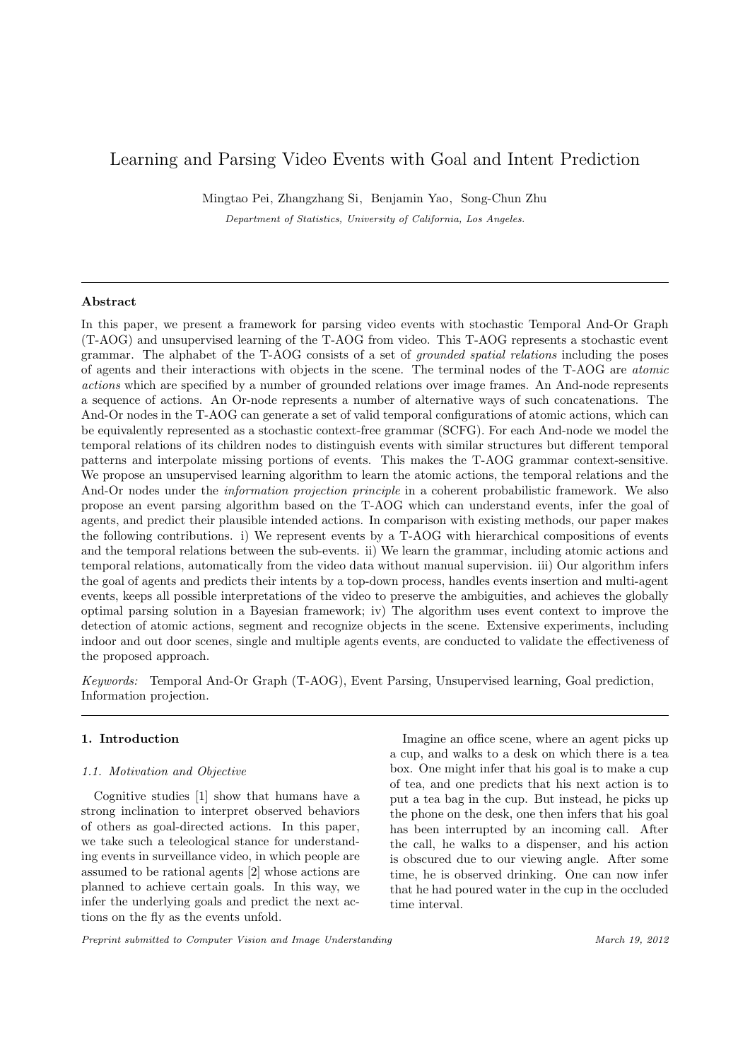# Learning and Parsing Video Events with Goal and Intent Prediction

Mingtao Pei, Zhangzhang Si, Benjamin Yao, Song-Chun Zhu Department of Statistics, University of California, Los Angeles.

# Abstract

In this paper, we present a framework for parsing video events with stochastic Temporal And-Or Graph (T-AOG) and unsupervised learning of the T-AOG from video. This T-AOG represents a stochastic event grammar. The alphabet of the T-AOG consists of a set of grounded spatial relations including the poses of agents and their interactions with objects in the scene. The terminal nodes of the T-AOG are atomic actions which are specified by a number of grounded relations over image frames. An And-node represents a sequence of actions. An Or-node represents a number of alternative ways of such concatenations. The And-Or nodes in the T-AOG can generate a set of valid temporal configurations of atomic actions, which can be equivalently represented as a stochastic context-free grammar (SCFG). For each And-node we model the temporal relations of its children nodes to distinguish events with similar structures but different temporal patterns and interpolate missing portions of events. This makes the T-AOG grammar context-sensitive. We propose an unsupervised learning algorithm to learn the atomic actions, the temporal relations and the And-Or nodes under the *information projection principle* in a coherent probabilistic framework. We also propose an event parsing algorithm based on the T-AOG which can understand events, infer the goal of agents, and predict their plausible intended actions. In comparison with existing methods, our paper makes the following contributions. i) We represent events by a T-AOG with hierarchical compositions of events and the temporal relations between the sub-events. ii) We learn the grammar, including atomic actions and temporal relations, automatically from the video data without manual supervision. iii) Our algorithm infers the goal of agents and predicts their intents by a top-down process, handles events insertion and multi-agent events, keeps all possible interpretations of the video to preserve the ambiguities, and achieves the globally optimal parsing solution in a Bayesian framework; iv) The algorithm uses event context to improve the detection of atomic actions, segment and recognize objects in the scene. Extensive experiments, including indoor and out door scenes, single and multiple agents events, are conducted to validate the effectiveness of the proposed approach.

Keywords: Temporal And-Or Graph (T-AOG), Event Parsing, Unsupervised learning, Goal prediction, Information projection.

# 1. Introduction

# 1.1. Motivation and Objective

Cognitive studies [1] show that humans have a strong inclination to interpret observed behaviors of others as goal-directed actions. In this paper, we take such a teleological stance for understanding events in surveillance video, in which people are assumed to be rational agents [2] whose actions are planned to achieve certain goals. In this way, we infer the underlying goals and predict the next actions on the fly as the events unfold.

Imagine an office scene, where an agent picks up a cup, and walks to a desk on which there is a tea box. One might infer that his goal is to make a cup of tea, and one predicts that his next action is to put a tea bag in the cup. But instead, he picks up the phone on the desk, one then infers that his goal has been interrupted by an incoming call. After the call, he walks to a dispenser, and his action is obscured due to our viewing angle. After some time, he is observed drinking. One can now infer that he had poured water in the cup in the occluded time interval.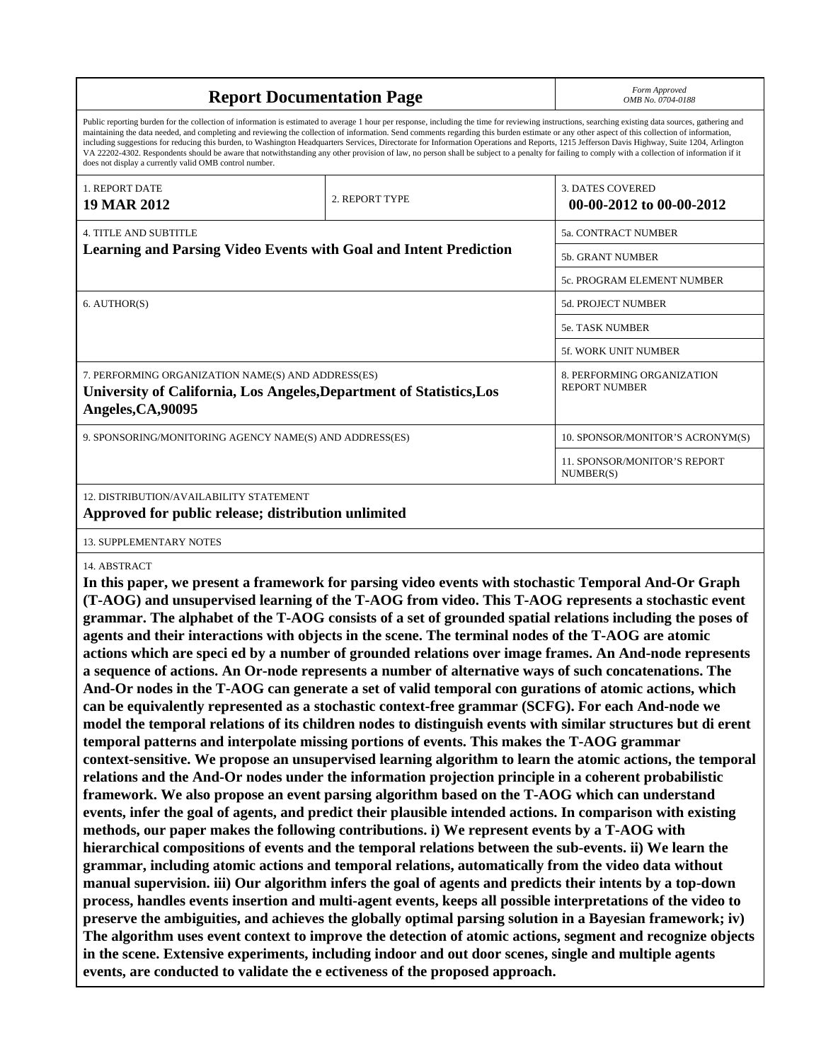| <b>Report Documentation Page</b>                                                                                                                                                                                                                                                                                                                                                                                                                                                                                                                                                                                                                                                                                                                                                                                                                                   | Form Approved<br>OMB No. 0704-0188                  |                                                    |  |
|--------------------------------------------------------------------------------------------------------------------------------------------------------------------------------------------------------------------------------------------------------------------------------------------------------------------------------------------------------------------------------------------------------------------------------------------------------------------------------------------------------------------------------------------------------------------------------------------------------------------------------------------------------------------------------------------------------------------------------------------------------------------------------------------------------------------------------------------------------------------|-----------------------------------------------------|----------------------------------------------------|--|
| Public reporting burden for the collection of information is estimated to average 1 hour per response, including the time for reviewing instructions, searching existing data sources, gathering and<br>maintaining the data needed, and completing and reviewing the collection of information. Send comments regarding this burden estimate or any other aspect of this collection of information,<br>including suggestions for reducing this burden, to Washington Headquarters Services, Directorate for Information Operations and Reports, 1215 Jefferson Davis Highway, Suite 1204, Arlington<br>VA 22202-4302. Respondents should be aware that notwithstanding any other provision of law, no person shall be subject to a penalty for failing to comply with a collection of information if it<br>does not display a currently valid OMB control number. |                                                     |                                                    |  |
| <b>1. REPORT DATE</b><br><b>19 MAR 2012</b>                                                                                                                                                                                                                                                                                                                                                                                                                                                                                                                                                                                                                                                                                                                                                                                                                        | <b>3. DATES COVERED</b><br>00-00-2012 to 00-00-2012 |                                                    |  |
| <b>4. TITLE AND SUBTITLE</b>                                                                                                                                                                                                                                                                                                                                                                                                                                                                                                                                                                                                                                                                                                                                                                                                                                       |                                                     | <b>5a. CONTRACT NUMBER</b>                         |  |
| <b>Learning and Parsing Video Events with Goal and Intent Prediction</b>                                                                                                                                                                                                                                                                                                                                                                                                                                                                                                                                                                                                                                                                                                                                                                                           | 5b. GRANT NUMBER                                    |                                                    |  |
|                                                                                                                                                                                                                                                                                                                                                                                                                                                                                                                                                                                                                                                                                                                                                                                                                                                                    | 5c. PROGRAM ELEMENT NUMBER                          |                                                    |  |
| 6. AUTHOR(S)                                                                                                                                                                                                                                                                                                                                                                                                                                                                                                                                                                                                                                                                                                                                                                                                                                                       | 5d. PROJECT NUMBER                                  |                                                    |  |
|                                                                                                                                                                                                                                                                                                                                                                                                                                                                                                                                                                                                                                                                                                                                                                                                                                                                    | <b>5e. TASK NUMBER</b>                              |                                                    |  |
|                                                                                                                                                                                                                                                                                                                                                                                                                                                                                                                                                                                                                                                                                                                                                                                                                                                                    |                                                     | <b>5f. WORK UNIT NUMBER</b>                        |  |
| 7. PERFORMING ORGANIZATION NAME(S) AND ADDRESS(ES)<br>University of California, Los Angeles, Department of Statistics, Los<br>Angeles, CA, 90095                                                                                                                                                                                                                                                                                                                                                                                                                                                                                                                                                                                                                                                                                                                   |                                                     | 8. PERFORMING ORGANIZATION<br><b>REPORT NUMBER</b> |  |
| 9. SPONSORING/MONITORING AGENCY NAME(S) AND ADDRESS(ES)                                                                                                                                                                                                                                                                                                                                                                                                                                                                                                                                                                                                                                                                                                                                                                                                            |                                                     | 10. SPONSOR/MONITOR'S ACRONYM(S)                   |  |
|                                                                                                                                                                                                                                                                                                                                                                                                                                                                                                                                                                                                                                                                                                                                                                                                                                                                    |                                                     | <b>11. SPONSOR/MONITOR'S REPORT</b><br>NUMBER(S)   |  |
| 12. DISTRIBUTION/AVAILABILITY STATEMENT<br>Approved for public release; distribution unlimited                                                                                                                                                                                                                                                                                                                                                                                                                                                                                                                                                                                                                                                                                                                                                                     |                                                     |                                                    |  |
| <b>13. SUPPLEMENTARY NOTES</b>                                                                                                                                                                                                                                                                                                                                                                                                                                                                                                                                                                                                                                                                                                                                                                                                                                     |                                                     |                                                    |  |
| 14. ABSTRACT                                                                                                                                                                                                                                                                                                                                                                                                                                                                                                                                                                                                                                                                                                                                                                                                                                                       |                                                     |                                                    |  |

**In this paper, we present a framework for parsing video events with stochastic Temporal And-Or Graph (T-AOG) and unsupervised learning of the T-AOG from video. This T-AOG represents a stochastic event grammar. The alphabet of the T-AOG consists of a set of grounded spatial relations including the poses of agents and their interactions with objects in the scene. The terminal nodes of the T-AOG are atomic actions which are speci ed by a number of grounded relations over image frames. An And-node represents a sequence of actions. An Or-node represents a number of alternative ways of such concatenations. The And-Or nodes in the T-AOG can generate a set of valid temporal con gurations of atomic actions, which can be equivalently represented as a stochastic context-free grammar (SCFG). For each And-node we model the temporal relations of its children nodes to distinguish events with similar structures but di erent temporal patterns and interpolate missing portions of events. This makes the T-AOG grammar context-sensitive. We propose an unsupervised learning algorithm to learn the atomic actions, the temporal relations and the And-Or nodes under the information projection principle in a coherent probabilistic framework. We also propose an event parsing algorithm based on the T-AOG which can understand events, infer the goal of agents, and predict their plausible intended actions. In comparison with existing methods, our paper makes the following contributions. i) We represent events by a T-AOG with hierarchical compositions of events and the temporal relations between the sub-events. ii) We learn the grammar, including atomic actions and temporal relations, automatically from the video data without manual supervision. iii) Our algorithm infers the goal of agents and predicts their intents by a top-down process, handles events insertion and multi-agent events, keeps all possible interpretations of the video to preserve the ambiguities, and achieves the globally optimal parsing solution in a Bayesian framework; iv) The algorithm uses event context to improve the detection of atomic actions, segment and recognize objects in the scene. Extensive experiments, including indoor and out door scenes, single and multiple agents events, are conducted to validate the e ectiveness of the proposed approach.**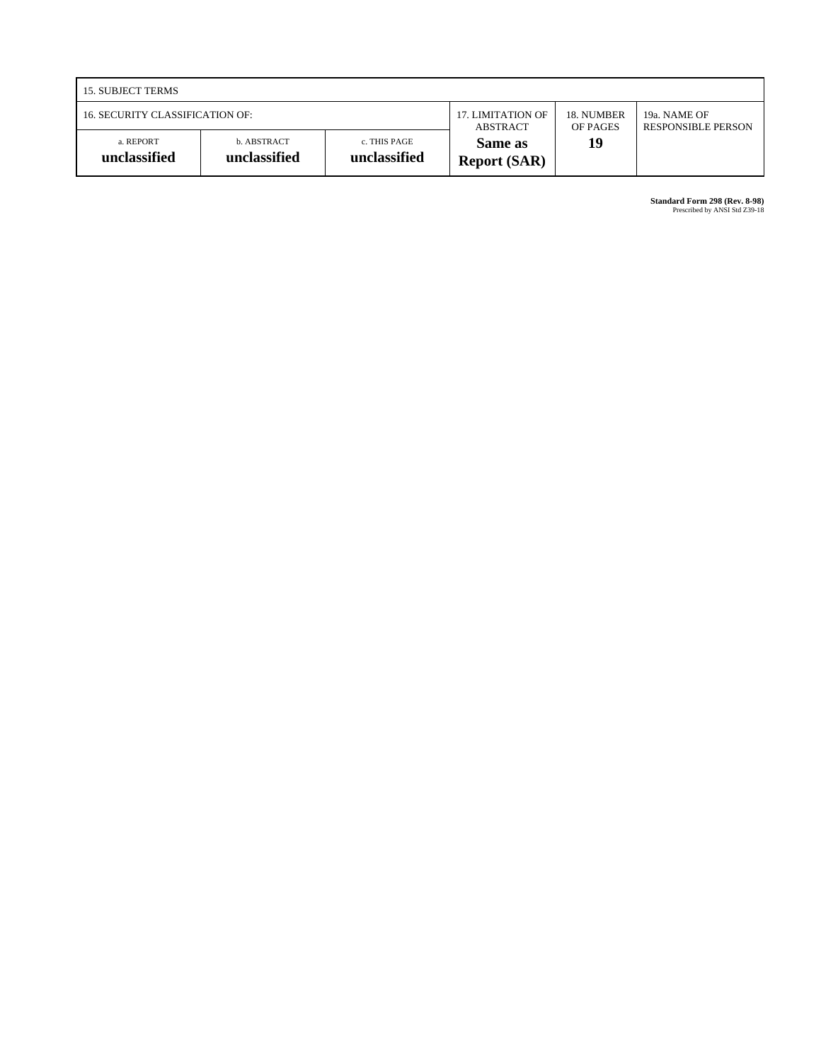| 15. SUBJECT TERMS               |                             |                               |                                |                                           |  |
|---------------------------------|-----------------------------|-------------------------------|--------------------------------|-------------------------------------------|--|
| 16. SECURITY CLASSIFICATION OF: |                             | 17. LIMITATION OF<br>ABSTRACT | 18. NUMBER<br>OF PAGES         | 19a. NAME OF<br><b>RESPONSIBLE PERSON</b> |  |
| a. REPORT<br>unclassified       | b. ABSTRACT<br>unclassified | c. THIS PAGE<br>unclassified  | Same as<br><b>Report (SAR)</b> | 19                                        |  |

**Standard Form 298 (Rev. 8-98)**<br>Prescribed by ANSI Std Z39-18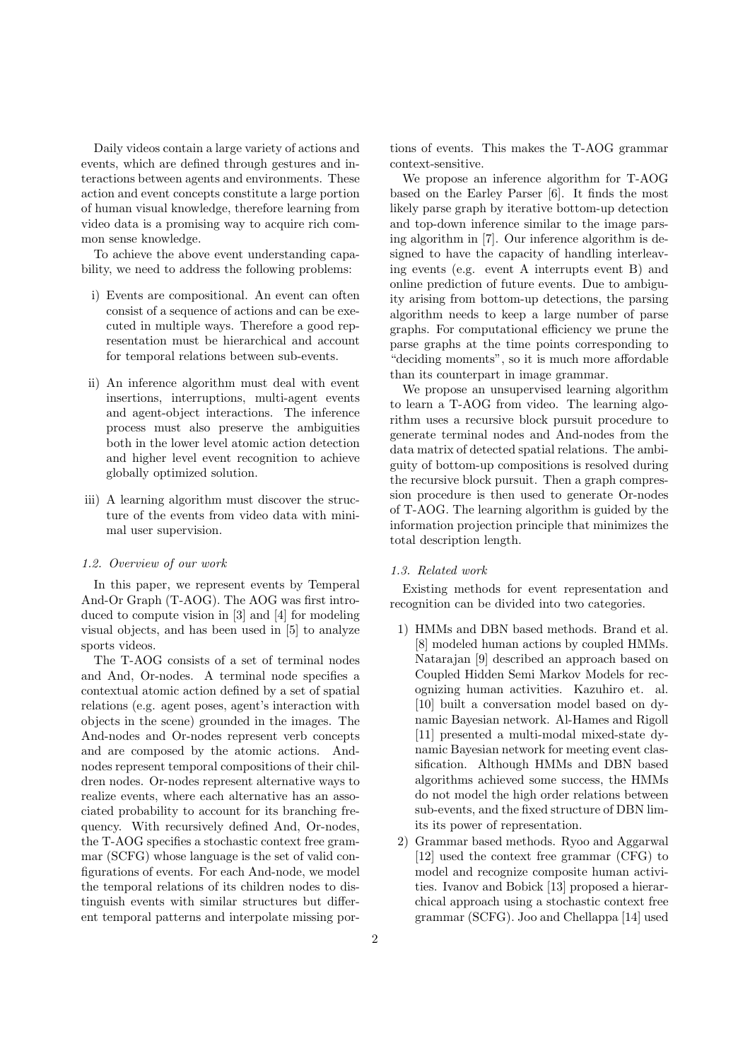Daily videos contain a large variety of actions and events, which are defined through gestures and interactions between agents and environments. These action and event concepts constitute a large portion of human visual knowledge, therefore learning from video data is a promising way to acquire rich common sense knowledge.

To achieve the above event understanding capability, we need to address the following problems:

- i) Events are compositional. An event can often consist of a sequence of actions and can be executed in multiple ways. Therefore a good representation must be hierarchical and account for temporal relations between sub-events.
- ii) An inference algorithm must deal with event insertions, interruptions, multi-agent events and agent-object interactions. The inference process must also preserve the ambiguities both in the lower level atomic action detection and higher level event recognition to achieve globally optimized solution.
- iii) A learning algorithm must discover the structure of the events from video data with minimal user supervision.

## 1.2. Overview of our work

In this paper, we represent events by Temperal And-Or Graph (T-AOG). The AOG was first introduced to compute vision in [3] and [4] for modeling visual objects, and has been used in [5] to analyze sports videos.

The T-AOG consists of a set of terminal nodes and And, Or-nodes. A terminal node specifies a contextual atomic action defined by a set of spatial relations (e.g. agent poses, agent's interaction with objects in the scene) grounded in the images. The And-nodes and Or-nodes represent verb concepts and are composed by the atomic actions. Andnodes represent temporal compositions of their children nodes. Or-nodes represent alternative ways to realize events, where each alternative has an associated probability to account for its branching frequency. With recursively defined And, Or-nodes, the T-AOG specifies a stochastic context free grammar (SCFG) whose language is the set of valid configurations of events. For each And-node, we model the temporal relations of its children nodes to distinguish events with similar structures but different temporal patterns and interpolate missing portions of events. This makes the T-AOG grammar context-sensitive.

We propose an inference algorithm for T-AOG based on the Earley Parser [6]. It finds the most likely parse graph by iterative bottom-up detection and top-down inference similar to the image parsing algorithm in [7]. Our inference algorithm is designed to have the capacity of handling interleaving events (e.g. event A interrupts event B) and online prediction of future events. Due to ambiguity arising from bottom-up detections, the parsing algorithm needs to keep a large number of parse graphs. For computational efficiency we prune the parse graphs at the time points corresponding to "deciding moments", so it is much more affordable than its counterpart in image grammar.

We propose an unsupervised learning algorithm to learn a T-AOG from video. The learning algorithm uses a recursive block pursuit procedure to generate terminal nodes and And-nodes from the data matrix of detected spatial relations. The ambiguity of bottom-up compositions is resolved during the recursive block pursuit. Then a graph compression procedure is then used to generate Or-nodes of T-AOG. The learning algorithm is guided by the information projection principle that minimizes the total description length.

# 1.3. Related work

Existing methods for event representation and recognition can be divided into two categories.

- 1) HMMs and DBN based methods. Brand et al. [8] modeled human actions by coupled HMMs. Natarajan [9] described an approach based on Coupled Hidden Semi Markov Models for recognizing human activities. Kazuhiro et. al. [10] built a conversation model based on dynamic Bayesian network. Al-Hames and Rigoll [11] presented a multi-modal mixed-state dynamic Bayesian network for meeting event classification. Although HMMs and DBN based algorithms achieved some success, the HMMs do not model the high order relations between sub-events, and the fixed structure of DBN limits its power of representation.
- 2) Grammar based methods. Ryoo and Aggarwal [12] used the context free grammar (CFG) to model and recognize composite human activities. Ivanov and Bobick [13] proposed a hierarchical approach using a stochastic context free grammar (SCFG). Joo and Chellappa [14] used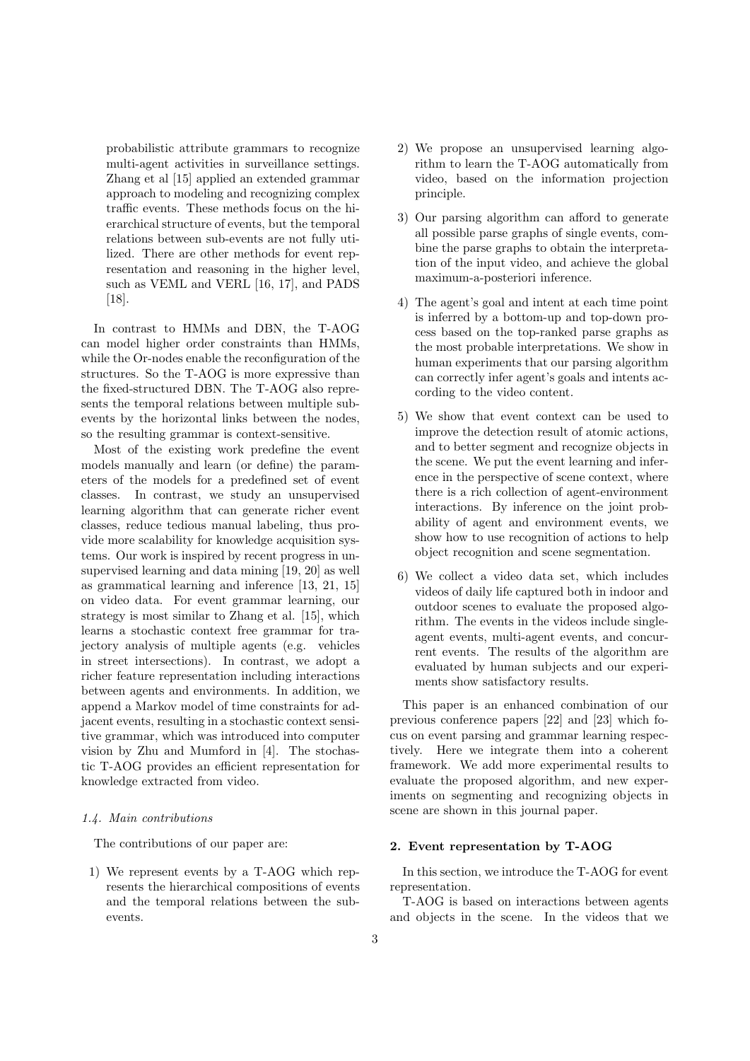probabilistic attribute grammars to recognize multi-agent activities in surveillance settings. Zhang et al [15] applied an extended grammar approach to modeling and recognizing complex traffic events. These methods focus on the hierarchical structure of events, but the temporal relations between sub-events are not fully utilized. There are other methods for event representation and reasoning in the higher level, such as VEML and VERL [16, 17], and PADS [18].

In contrast to HMMs and DBN, the T-AOG can model higher order constraints than HMMs, while the Or-nodes enable the reconfiguration of the structures. So the T-AOG is more expressive than the fixed-structured DBN. The T-AOG also represents the temporal relations between multiple subevents by the horizontal links between the nodes, so the resulting grammar is context-sensitive.

Most of the existing work predefine the event models manually and learn (or define) the parameters of the models for a predefined set of event classes. In contrast, we study an unsupervised learning algorithm that can generate richer event classes, reduce tedious manual labeling, thus provide more scalability for knowledge acquisition systems. Our work is inspired by recent progress in unsupervised learning and data mining [19, 20] as well as grammatical learning and inference [13, 21, 15] on video data. For event grammar learning, our strategy is most similar to Zhang et al. [15], which learns a stochastic context free grammar for trajectory analysis of multiple agents (e.g. vehicles in street intersections). In contrast, we adopt a richer feature representation including interactions between agents and environments. In addition, we append a Markov model of time constraints for adjacent events, resulting in a stochastic context sensitive grammar, which was introduced into computer vision by Zhu and Mumford in [4]. The stochastic T-AOG provides an efficient representation for knowledge extracted from video.

# 1.4. Main contributions

The contributions of our paper are:

1) We represent events by a T-AOG which represents the hierarchical compositions of events and the temporal relations between the subevents.

- 2) We propose an unsupervised learning algorithm to learn the T-AOG automatically from video, based on the information projection principle.
- 3) Our parsing algorithm can afford to generate all possible parse graphs of single events, combine the parse graphs to obtain the interpretation of the input video, and achieve the global maximum-a-posteriori inference.
- 4) The agent's goal and intent at each time point is inferred by a bottom-up and top-down process based on the top-ranked parse graphs as the most probable interpretations. We show in human experiments that our parsing algorithm can correctly infer agent's goals and intents according to the video content.
- 5) We show that event context can be used to improve the detection result of atomic actions, and to better segment and recognize objects in the scene. We put the event learning and inference in the perspective of scene context, where there is a rich collection of agent-environment interactions. By inference on the joint probability of agent and environment events, we show how to use recognition of actions to help object recognition and scene segmentation.
- 6) We collect a video data set, which includes videos of daily life captured both in indoor and outdoor scenes to evaluate the proposed algorithm. The events in the videos include singleagent events, multi-agent events, and concurrent events. The results of the algorithm are evaluated by human subjects and our experiments show satisfactory results.

This paper is an enhanced combination of our previous conference papers [22] and [23] which focus on event parsing and grammar learning respectively. Here we integrate them into a coherent framework. We add more experimental results to evaluate the proposed algorithm, and new experiments on segmenting and recognizing objects in scene are shown in this journal paper.

## 2. Event representation by T-AOG

In this section, we introduce the T-AOG for event representation.

T-AOG is based on interactions between agents and objects in the scene. In the videos that we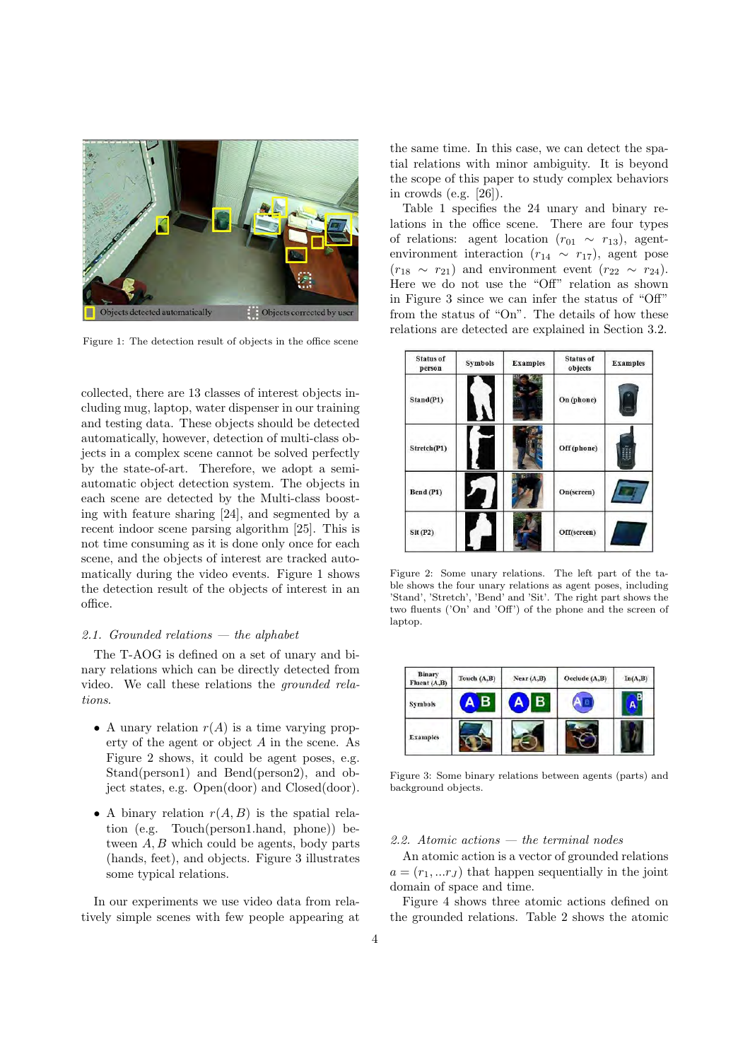

Figure 1: The detection result of objects in the office scene

collected, there are 13 classes of interest objects including mug, laptop, water dispenser in our training and testing data. These objects should be detected automatically, however, detection of multi-class objects in a complex scene cannot be solved perfectly by the state-of-art. Therefore, we adopt a semiautomatic object detection system. The objects in each scene are detected by the Multi-class boosting with feature sharing [24], and segmented by a recent indoor scene parsing algorithm [25]. This is not time consuming as it is done only once for each scene, and the objects of interest are tracked automatically during the video events. Figure 1 shows the detection result of the objects of interest in an office.

### 2.1. Grounded relations  $-$  the alphabet

The T-AOG is defined on a set of unary and binary relations which can be directly detected from video. We call these relations the grounded relations.

- A unary relation  $r(A)$  is a time varying property of the agent or object A in the scene. As Figure 2 shows, it could be agent poses, e.g. Stand(person1) and Bend(person2), and object states, e.g. Open(door) and Closed(door).
- A binary relation  $r(A, B)$  is the spatial relation (e.g. Touch(person1.hand, phone)) between A, B which could be agents, body parts (hands, feet), and objects. Figure 3 illustrates some typical relations.

In our experiments we use video data from relatively simple scenes with few people appearing at the same time. In this case, we can detect the spatial relations with minor ambiguity. It is beyond the scope of this paper to study complex behaviors in crowds (e.g. [26]).

Table 1 specifies the 24 unary and binary relations in the office scene. There are four types of relations: agent location  $(r_{01} \sim r_{13})$ , agentenvironment interaction  $(r_{14} \sim r_{17})$ , agent pose  $(r_{18} \sim r_{21})$  and environment event  $(r_{22} \sim r_{24})$ . Here we do not use the "Off" relation as shown in Figure 3 since we can infer the status of "Off" from the status of "On". The details of how these relations are detected are explained in Section 3.2.

| <b>Status of</b><br>person | <b>Symbols</b><br><b>Examples</b> |  | <b>Status of</b><br>objects | <b>Examples</b> |  |
|----------------------------|-----------------------------------|--|-----------------------------|-----------------|--|
| Stand(P1)                  |                                   |  | On (phone)                  |                 |  |
| Stretch(P1)                |                                   |  | Off (phone)                 |                 |  |
| Bend (P1)                  |                                   |  | On(screen)                  |                 |  |
| Sit(P2)                    |                                   |  | Off(screen)                 |                 |  |

Figure 2: Some unary relations. The left part of the table shows the four unary relations as agent poses, including 'Stand', 'Stretch', 'Bend' and 'Sit'. The right part shows the two fluents ('On' and 'Off') of the phone and the screen of laptop.

| Binary<br>Fluent $(A,B)$ | Touch (A,B) | Near(A,B) | Occlude (A,B) | In(A,B) |
|--------------------------|-------------|-----------|---------------|---------|
| <b>Symbols</b>           |             |           |               | A       |
| <b>Examples</b>          |             |           |               |         |

Figure 3: Some binary relations between agents (parts) and background objects.

# 2.2. Atomic actions — the terminal nodes

An atomic action is a vector of grounded relations  $a = (r_1, ... r_J)$  that happen sequentially in the joint domain of space and time.

Figure 4 shows three atomic actions defined on the grounded relations. Table 2 shows the atomic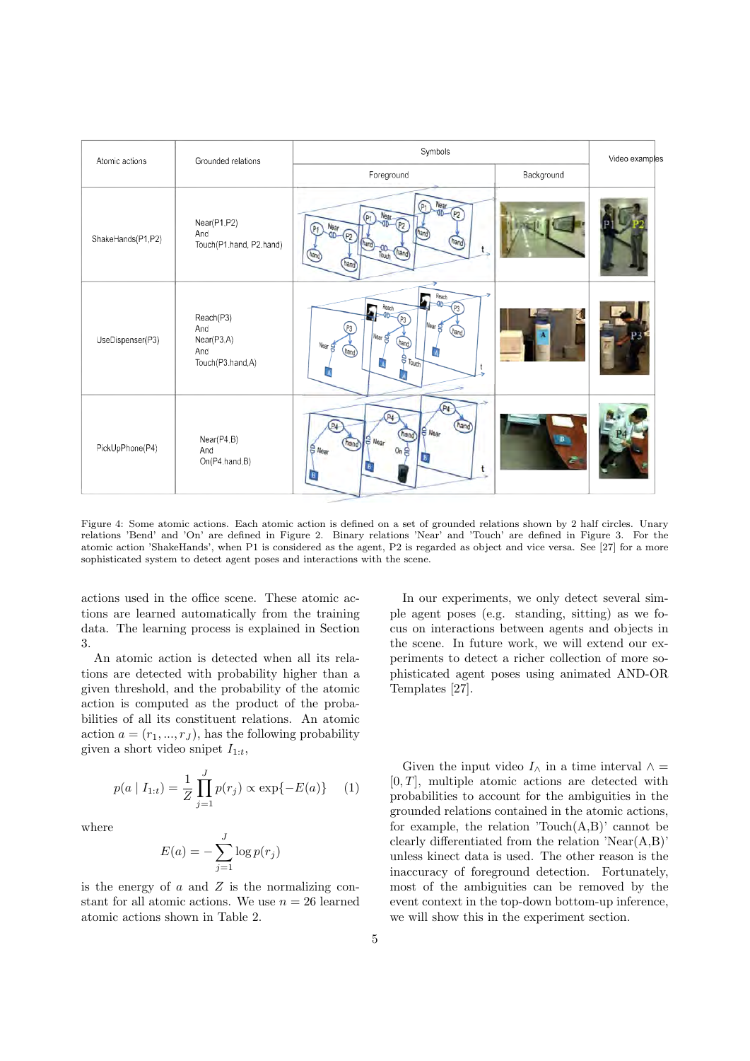| Atomic actions    | Grounded relations                                        | Symbols                                                                                                                                                                        | Video examples |  |
|-------------------|-----------------------------------------------------------|--------------------------------------------------------------------------------------------------------------------------------------------------------------------------------|----------------|--|
|                   |                                                           | Foreground                                                                                                                                                                     | Background     |  |
| ShakeHands(P1,P2) | Near(P1,P2)<br>And<br>Touch(P1.hand, P2.hand)             | Near<br><b>CID</b><br>P <sub>1</sub><br>(p <sub>2</sub> )<br>Near<br>$P_1$<br>p <sub>2</sub><br>N <sub>ear</sub><br>(p <sub>2</sub> )<br>hand)<br><b>Such</b><br>frand<br>hand |                |  |
| UseDispenser(P3)  | Reach(P3)<br>And<br>Near(P3,A)<br>And<br>Touch(P3.hand,A) | Reach<br>Reach<br>P3<br><b>And</b><br>$\sqrt{P_3}$<br>$N$ ear $\mathbf{g}$<br>P3<br>$(h$ and<br>Nearg<br>hand<br>Near g<br>$(h$ and<br>$\frac{1}{2}$ Touch<br>$\mathbf{A}$     |                |  |
| PickUpPhone(P4)   | Near(P4,B)<br>And<br>On(P4.hand,B)                        | P4<br>hand<br><b>S</b> Near<br>hand)<br>$S$ Near<br>(hand)<br>$S$ Near<br>0nR                                                                                                  | R              |  |

Figure 4: Some atomic actions. Each atomic action is defined on a set of grounded relations shown by 2 half circles. Unary relations 'Bend' and 'On' are defined in Figure 2. Binary relations 'Near' and 'Touch' are defined in Figure 3. For the atomic action 'ShakeHands', when P1 is considered as the agent, P2 is regarded as object and vice versa. See [27] for a more sophisticated system to detect agent poses and interactions with the scene.

actions used in the office scene. These atomic actions are learned automatically from the training data. The learning process is explained in Section 3.

An atomic action is detected when all its relations are detected with probability higher than a given threshold, and the probability of the atomic action is computed as the product of the probabilities of all its constituent relations. An atomic action  $a = (r_1, ..., r_J)$ , has the following probability given a short video snipet  $I_{1:t}$ ,

$$
p(a | I_{1:t}) = \frac{1}{Z} \prod_{j=1}^{J} p(r_j) \propto \exp\{-E(a)\} \tag{1}
$$

where

$$
E(a) = -\sum_{j=1}^{J} \log p(r_j)
$$

is the energy of  $a$  and  $Z$  is the normalizing constant for all atomic actions. We use  $n = 26$  learned atomic actions shown in Table 2.

In our experiments, we only detect several simple agent poses (e.g. standing, sitting) as we focus on interactions between agents and objects in the scene. In future work, we will extend our experiments to detect a richer collection of more sophisticated agent poses using animated AND-OR Templates [27].

Given the input video  $I_{\wedge}$  in a time interval  $\wedge$  =  $[0, T]$ , multiple atomic actions are detected with probabilities to account for the ambiguities in the grounded relations contained in the atomic actions, for example, the relation  $Touch(A,B)$  cannot be clearly differentiated from the relation 'Near(A,B)' unless kinect data is used. The other reason is the inaccuracy of foreground detection. Fortunately, most of the ambiguities can be removed by the event context in the top-down bottom-up inference, we will show this in the experiment section.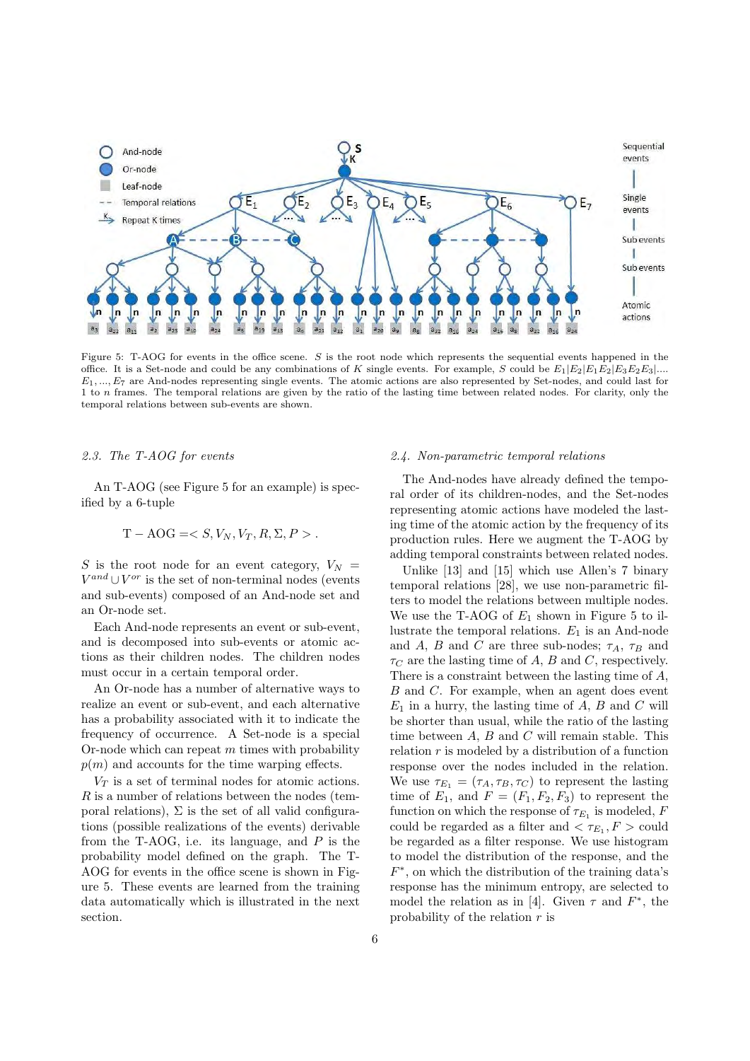

Figure 5: T-AOG for events in the office scene. S is the root node which represents the sequential events happened in the office. It is a Set-node and could be any combinations of K single events. For example, S could be  $E_1|E_2|E_1E_2|E_3E_2E_3|...$  $E_1, ..., E_7$  are And-nodes representing single events. The atomic actions are also represented by Set-nodes, and could last for 1 to n frames. The temporal relations are given by the ratio of the lasting time between related nodes. For clarity, only the temporal relations between sub-events are shown.

## 2.3. The T-AOG for events

An T-AOG (see Figure 5 for an example) is specified by a 6-tuple

$$
T - AOG = \langle S, V_N, V_T, R, \Sigma, P \rangle.
$$

S is the root node for an event category,  $V_N =$  $V^{and} \cup V^{or}$  is the set of non-terminal nodes (events and sub-events) composed of an And-node set and an Or-node set.

Each And-node represents an event or sub-event, and is decomposed into sub-events or atomic actions as their children nodes. The children nodes must occur in a certain temporal order.

An Or-node has a number of alternative ways to realize an event or sub-event, and each alternative has a probability associated with it to indicate the frequency of occurrence. A Set-node is a special Or-node which can repeat  $m$  times with probability  $p(m)$  and accounts for the time warping effects.

 $V_T$  is a set of terminal nodes for atomic actions. R is a number of relations between the nodes (temporal relations),  $\Sigma$  is the set of all valid configurations (possible realizations of the events) derivable from the T-AOG, i.e. its language, and  $P$  is the probability model defined on the graph. The T-AOG for events in the office scene is shown in Figure 5. These events are learned from the training data automatically which is illustrated in the next section.

# 2.4. Non-parametric temporal relations

The And-nodes have already defined the temporal order of its children-nodes, and the Set-nodes representing atomic actions have modeled the lasting time of the atomic action by the frequency of its production rules. Here we augment the T-AOG by adding temporal constraints between related nodes.

Unlike [13] and [15] which use Allen's 7 binary temporal relations [28], we use non-parametric filters to model the relations between multiple nodes. We use the T-AOG of  $E_1$  shown in Figure 5 to illustrate the temporal relations.  $E_1$  is an And-node and A, B and C are three sub-nodes;  $\tau_A$ ,  $\tau_B$  and  $\tau_C$  are the lasting time of A, B and C, respectively. There is a constraint between the lasting time of A, B and C. For example, when an agent does event  $E_1$  in a hurry, the lasting time of A, B and C will be shorter than usual, while the ratio of the lasting time between  $A, B$  and  $C$  will remain stable. This relation  $r$  is modeled by a distribution of a function response over the nodes included in the relation. We use  $\tau_{E_1} = (\tau_A, \tau_B, \tau_C)$  to represent the lasting time of  $E_1$ , and  $F = (F_1, F_2, F_3)$  to represent the function on which the response of  $\tau_{E_1}$  is modeled, F could be regarded as a filter and  $\langle \tau_{E_1}, F \rangle$  could be regarded as a filter response. We use histogram to model the distribution of the response, and the  $F^*$ , on which the distribution of the training data's response has the minimum entropy, are selected to model the relation as in [4]. Given  $\tau$  and  $F^*$ , the probability of the relation  $r$  is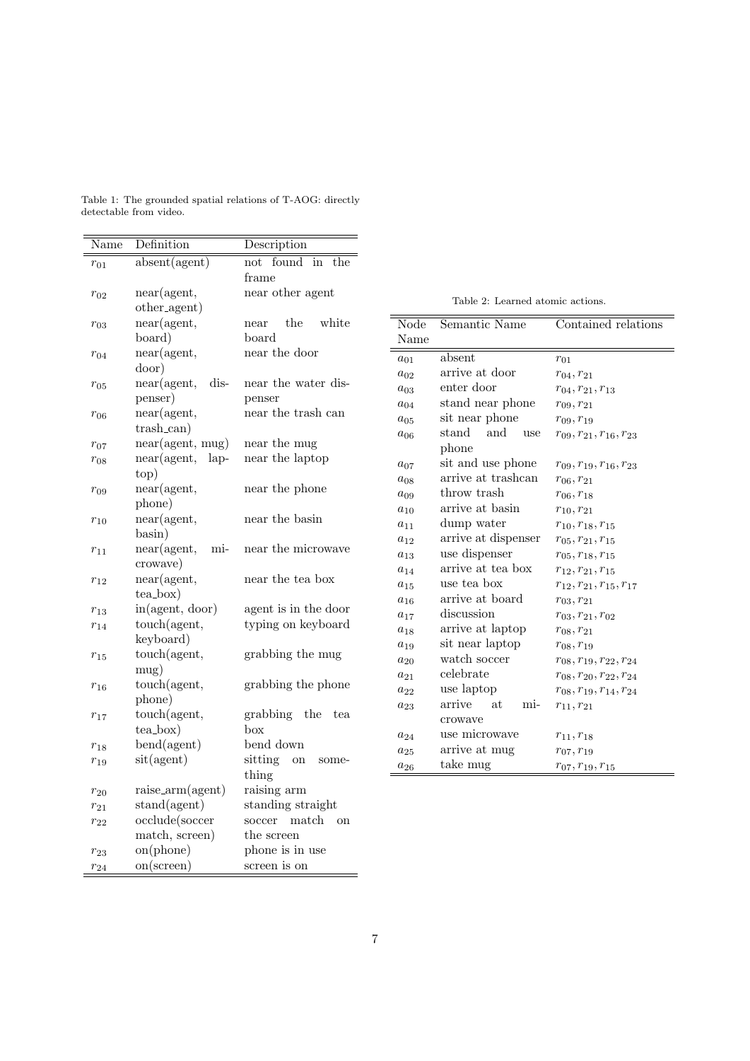Table 1: The grounded spatial relations of T-AOG: directly detectable from video.

| Name     | Definition                  | Description                      |  |  |  |
|----------|-----------------------------|----------------------------------|--|--|--|
|          |                             |                                  |  |  |  |
| $r_{01}$ | absent(agent)               | found<br>in<br>not<br>the        |  |  |  |
|          |                             | frame                            |  |  |  |
| $r_{02}$ | near(agent,<br>other_agent) | near other agent                 |  |  |  |
|          | near(agent,                 | the<br>white<br>near             |  |  |  |
| $r_{03}$ | board)                      | board                            |  |  |  |
| $r_{04}$ | near(agent,                 | near the door                    |  |  |  |
|          | door)                       |                                  |  |  |  |
| $r_{05}$ | near(agent,<br>$dis-$       | near the water dis-              |  |  |  |
|          | penser)                     | penser                           |  |  |  |
| $r_{06}$ | near(agent,                 | near the trash can               |  |  |  |
|          | $train\_can)$               |                                  |  |  |  |
| $r_{07}$ | near(agent, mug)            | near the mug                     |  |  |  |
| $r_{08}$ | near(agent,<br>lap-         | near the laptop                  |  |  |  |
|          | top)                        |                                  |  |  |  |
| $r_{09}$ | near(agent,                 | near the phone                   |  |  |  |
|          | phone)                      |                                  |  |  |  |
| $r_{10}$ | near(agent,                 | near the basin                   |  |  |  |
|          | basin)                      |                                  |  |  |  |
| $r_{11}$ | near(agent,<br>mi-          | near the microwave               |  |  |  |
|          | crowave)                    |                                  |  |  |  |
| $r_{12}$ | near(agent,                 | near the tea box                 |  |  |  |
|          | $tea_{box}$                 |                                  |  |  |  |
| $r_{13}$ | in(agent, door)             | agent is in the door             |  |  |  |
| $r_{14}$ | touch(agent,                | typing on keyboard               |  |  |  |
|          | keyboard)<br>touch(agent,   | grabbing the mug                 |  |  |  |
| $r_{15}$ | mug)                        |                                  |  |  |  |
| $r_{16}$ | touch(agent,                | grabbing the phone               |  |  |  |
|          | phone)                      |                                  |  |  |  |
| $r_{17}$ | touch(agent,                | the<br>grabbing<br>tea           |  |  |  |
|          | $tea_{box}$                 | $_{\rm box}$                     |  |  |  |
| $r_{18}$ | bend(agent)                 | bend down                        |  |  |  |
| $r_{19}$ | sit(agent)                  | sitting<br>on<br>some-           |  |  |  |
|          |                             | thing                            |  |  |  |
| $r_{20}$ | $raise\_arm(agent)$         | raising arm                      |  |  |  |
| $r_{21}$ | stand(agent)                | standing straight                |  |  |  |
| $r_{22}$ | occlude(soccer              | match<br>soccer<br><sub>on</sub> |  |  |  |
|          | match, screen)              | the screen                       |  |  |  |
| $r_{23}$ | on(phone)                   | phone is in use                  |  |  |  |
| $r_{24}$ | on(screen)                  | screen is on                     |  |  |  |

Table 2: Learned atomic actions.

| Node                  | Semantic Name       | Contained relations                  |  |  |
|-----------------------|---------------------|--------------------------------------|--|--|
| Name                  |                     |                                      |  |  |
| $a_{01}$              | absent              | $r_{01}$                             |  |  |
| $a_{02}$              | arrive at door      | $r_{04}, r_{21}$                     |  |  |
| $a_{03}$              | enter door          | $r_{04}, r_{21}, r_{13}$             |  |  |
| $a_{04}$              | stand near phone    | $r_{09}, r_{21}$                     |  |  |
| $\boldsymbol{a}_{05}$ | sit near phone      | $r_{09}, r_{19}$                     |  |  |
| $a_{06}$              | and<br>stand<br>use | $r_{09}, r_{21}, r_{16}, r_{23}$     |  |  |
|                       | phone               |                                      |  |  |
| $a_{07}$              | sit and use phone   | $r_{09}, r_{19}, r_{16}, r_{23}$     |  |  |
| $a_{08}$              | arrive at trashcan  | $r_{06}, r_{21}$                     |  |  |
| $a_{09}$              | throw trash         | $r_{06}, r_{18}$                     |  |  |
| $a_{10}$              | arrive at basin     | $r_{10}, r_{21}$                     |  |  |
| $a_{11}$              | dump water          | $r_{10}, r_{18}, r_{15}$             |  |  |
| $a_{12}$              | arrive at dispenser | $r_{05}, r_{21}, r_{15}$             |  |  |
| $a_{13}$              | use dispenser       | $r_{0.5}, r_{1.8}, r_{1.5}$          |  |  |
| $a_{14}$              | arrive at tea box   | $r_{12}, r_{21}, r_{15}$             |  |  |
| $a_{15}$              | use tea box         | $r_{12}, r_{21}, r_{15}, r_{17}$     |  |  |
| $a_{16}$              | arrive at board     | $r_{03}, r_{21}$                     |  |  |
| $a_{17}$              | discussion          | $r_{03}, r_{21}, r_{02}$             |  |  |
| $a_{18}$              | arrive at laptop    | $r_{08}, r_{21}$                     |  |  |
| $a_{19}$              | sit near laptop     | $r_{08}, r_{19}$                     |  |  |
| $a_{20}$              | watch soccer        | $r_{08}, r_{19}, r_{22}, r_{24}$     |  |  |
| $a_{21}$              | celebrate           | $r_{08}, r_{20}, r_{22}, r_{24}$     |  |  |
| $a_{22}$              | use laptop          | $r_{08}, r_{19}, r_{14}, r_{24}$     |  |  |
| $a_{23}$              | arrive<br>at<br>mi- | $r_{11}, r_{21}$                     |  |  |
|                       | crowave             |                                      |  |  |
| $a_{24}$              | use microwave       | $r_{11}, r_{18}$                     |  |  |
| $\boldsymbol{a_{25}}$ | arrive at mug       | $r_{07}, r_{19}$                     |  |  |
| $a_{26}$              | take mug            | $r_{07}, r_{19}, \underline{r_{15}}$ |  |  |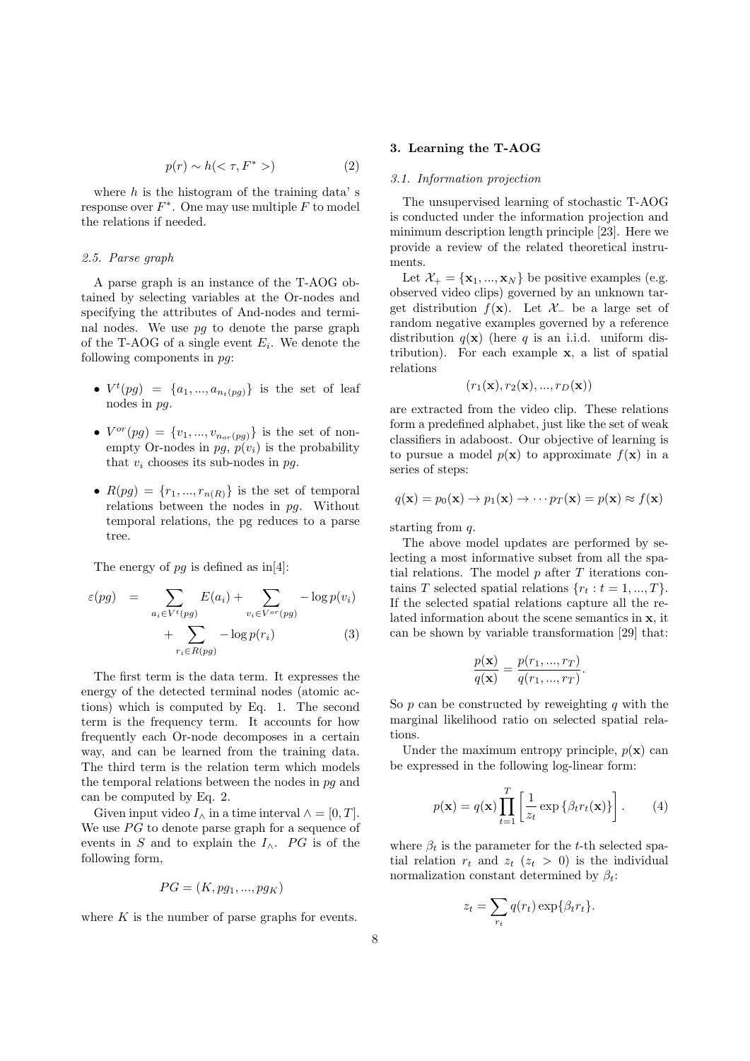$$
p(r) \sim h(<\tau, F^*>)\tag{2}
$$

where  $h$  is the histogram of the training data's response over  $F^*$ . One may use multiple  $F$  to model the relations if needed.

# 2.5. Parse graph

A parse graph is an instance of the T-AOG obtained by selecting variables at the Or-nodes and specifying the attributes of And-nodes and terminal nodes. We use  $pq$  to denote the parse graph of the T-AOG of a single event  $E_i$ . We denote the following components in pg:

- $V^t(pg) = \{a_1, ..., a_{n_t(pg)}\}$  is the set of leaf nodes in pg.
- $V^{or}(pg) = \{v_1, ..., v_{n_{or}(pg)}\}$  is the set of nonempty Or-nodes in  $pg$ ,  $p(v_i)$  is the probability that  $v_i$  chooses its sub-nodes in  $pq$ .
- $R(pg) = \{r_1, ..., r_{n(R)}\}$  is the set of temporal relations between the nodes in pg. Without temporal relations, the pg reduces to a parse tree.

The energy of  $pq$  is defined as in[4]:

$$
\varepsilon(pg) = \sum_{a_i \in V^t(pg)} E(a_i) + \sum_{v_i \in V^{or}(pg)} -\log p(v_i) + \sum_{r_i \in R(pg)} -\log p(r_i)
$$
\n(3)

The first term is the data term. It expresses the energy of the detected terminal nodes (atomic actions) which is computed by Eq. 1. The second term is the frequency term. It accounts for how frequently each Or-node decomposes in a certain way, and can be learned from the training data. The third term is the relation term which models the temporal relations between the nodes in pg and can be computed by Eq. 2.

Given input video  $I_\wedge$  in a time interval  $\wedge = [0, T]$ . We use  $PG$  to denote parse graph for a sequence of events in S and to explain the  $I_$ <sup> $\wedge$ </sup> PC is of the following form,

$$
PG = (K, pg_1, ..., pg_K)
$$

where  $K$  is the number of parse graphs for events.

# 3. Learning the T-AOG

#### 3.1. Information projection

The unsupervised learning of stochastic T-AOG is conducted under the information projection and minimum description length principle [23]. Here we provide a review of the related theoretical instruments.

Let  $\mathcal{X}_+ = {\mathbf{x}_1, ..., \mathbf{x}_N}$  be positive examples (e.g. observed video clips) governed by an unknown target distribution  $f(\mathbf{x})$ . Let  $\mathcal{X}_-$  be a large set of random negative examples governed by a reference distribution  $q(\mathbf{x})$  (here q is an i.i.d. uniform distribution). For each example x, a list of spatial relations

$$
(r_1(\mathbf{x}), r_2(\mathbf{x}), ..., r_D(\mathbf{x}))
$$

are extracted from the video clip. These relations form a predefined alphabet, just like the set of weak classifiers in adaboost. Our objective of learning is to pursue a model  $p(x)$  to approximate  $f(x)$  in a series of steps:

$$
q(\mathbf{x}) = p_0(\mathbf{x}) \to p_1(\mathbf{x}) \to \cdots p_T(\mathbf{x}) = p(\mathbf{x}) \approx f(\mathbf{x})
$$

starting from  $q$ .

The above model updates are performed by selecting a most informative subset from all the spatial relations. The model  $p$  after  $T$  iterations contains T selected spatial relations  $\{r_t : t = 1, ..., T\}$ . If the selected spatial relations capture all the related information about the scene semantics in x, it can be shown by variable transformation [29] that:

$$
\frac{p(\mathbf{x})}{q(\mathbf{x})} = \frac{p(r_1, ..., r_T)}{q(r_1, ..., r_T)}
$$

.

So  $p$  can be constructed by reweighting  $q$  with the marginal likelihood ratio on selected spatial relations.

Under the maximum entropy principle,  $p(\mathbf{x})$  can be expressed in the following log-linear form:

$$
p(\mathbf{x}) = q(\mathbf{x}) \prod_{t=1}^{T} \left[ \frac{1}{z_t} \exp \{ \beta_t r_t(\mathbf{x}) \} \right]. \tag{4}
$$

where  $\beta_t$  is the parameter for the t-th selected spatial relation  $r_t$  and  $z_t$  ( $z_t > 0$ ) is the individual normalization constant determined by  $\beta_t$ :

$$
z_t = \sum_{r_t} q(r_t) \exp{\{\beta_t r_t\}}.
$$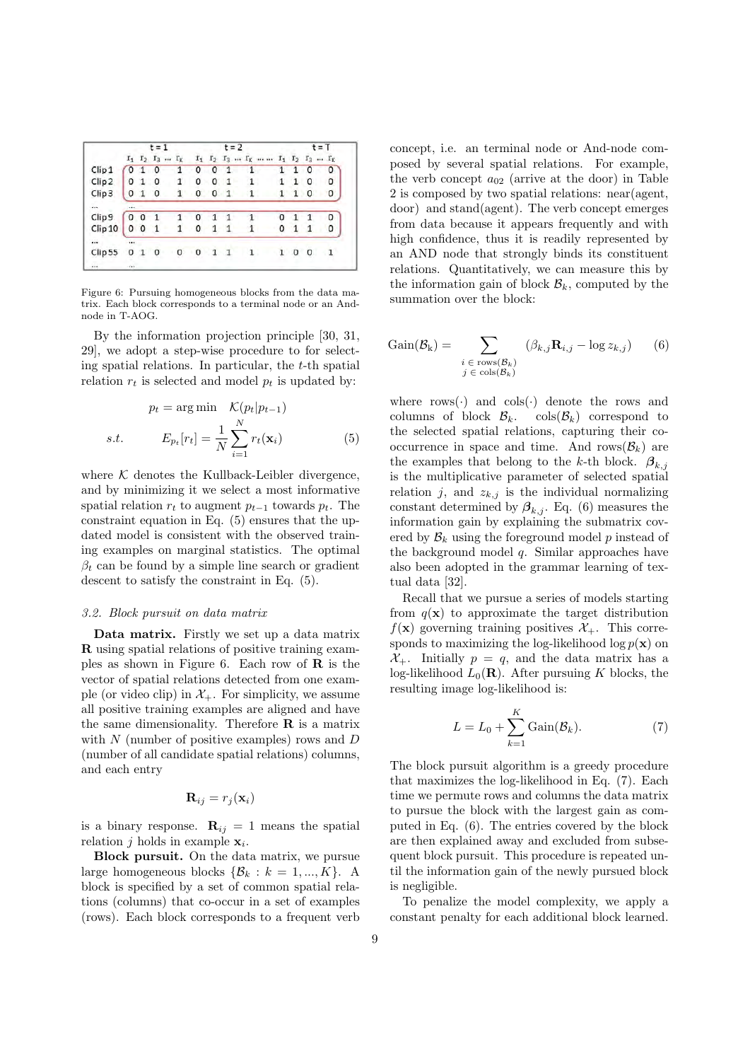|                   |          |         | $t = 1$      |                                             |   |   | $t = 2$ |                                                           |   |              |         | $t = T$ |
|-------------------|----------|---------|--------------|---------------------------------------------|---|---|---------|-----------------------------------------------------------|---|--------------|---------|---------|
|                   |          |         |              | $\Gamma_1$ $\Gamma_2$ $\Gamma_3$ $\Gamma_K$ |   |   |         | $T_1$ $T_2$ $T_3$ on $T_8$ m on $T_1$ $T_2$ $T_3$ m $T_8$ |   |              |         |         |
| Clip <sub>1</sub> |          |         | 0            |                                             | 0 | 0 | 1       | 1                                                         | 1 |              | 0       | $\circ$ |
| Clip <sub>2</sub> | 0        | 1       | 0            | 1                                           | 0 | 0 | 1       | 1                                                         | 1 | 1            | 0       | 0       |
| Clip <sub>3</sub> | 0        | 1       | $\circ$      | 1                                           | 0 | 0 | 1       | 1                                                         | 1 | $\mathbf{1}$ | $\circ$ | 0       |
|                   | $\cdots$ |         |              |                                             |   |   |         |                                                           |   |              |         |         |
| Clip <sub>9</sub> | 0        | 0       | $\mathbf{1}$ |                                             | 0 |   |         |                                                           | o |              | 1       | 0       |
| Clip 10           | 0        | $\circ$ | 1            |                                             | ٥ | 1 | 1       |                                                           | 0 |              | 1       | ٥       |
| $\cdots$          | m        |         |              |                                             |   |   |         |                                                           |   |              |         |         |
| Clip 55           | 0        |         | 0            | 0                                           | 0 | 1 | 1       | $\mathbf{1}$                                              | 1 | O            | 0       | 1       |
|                   |          |         |              |                                             |   |   |         |                                                           |   |              |         |         |

Figure 6: Pursuing homogeneous blocks from the data matrix. Each block corresponds to a terminal node or an Andnode in T-AOG.

By the information projection principle [30, 31, 29], we adopt a step-wise procedure to for selecting spatial relations. In particular, the t-th spatial relation  $r_t$  is selected and model  $p_t$  is updated by:

$$
p_t = \arg\min \quad \mathcal{K}(p_t|p_{t-1})
$$
  
s.t. 
$$
E_{p_t}[r_t] = \frac{1}{N} \sum_{i=1}^N r_t(\mathbf{x}_i)
$$
(5)

where  $K$  denotes the Kullback-Leibler divergence, and by minimizing it we select a most informative spatial relation  $r_t$  to augment  $p_{t-1}$  towards  $p_t$ . The constraint equation in Eq. (5) ensures that the updated model is consistent with the observed training examples on marginal statistics. The optimal  $\beta_t$  can be found by a simple line search or gradient descent to satisfy the constraint in Eq. (5).

### 3.2. Block pursuit on data matrix

Data matrix. Firstly we set up a data matrix R using spatial relations of positive training examples as shown in Figure 6. Each row of  $\bf{R}$  is the vector of spatial relations detected from one example (or video clip) in  $\mathcal{X}_+$ . For simplicity, we assume all positive training examples are aligned and have the same dimensionality. Therefore  $\bf{R}$  is a matrix with  $N$  (number of positive examples) rows and  $D$ (number of all candidate spatial relations) columns, and each entry

$$
\mathbf{R}_{ij} = r_j(\mathbf{x}_i)
$$

is a binary response.  $\mathbf{R}_{ij} = 1$  means the spatial relation *j* holds in example  $\mathbf{x}_i$ .

Block pursuit. On the data matrix, we pursue large homogeneous blocks  $\{\mathcal{B}_k : k = 1, ..., K\}$ . A block is specified by a set of common spatial relations (columns) that co-occur in a set of examples (rows). Each block corresponds to a frequent verb concept, i.e. an terminal node or And-node composed by several spatial relations. For example, the verb concept  $a_{02}$  (arrive at the door) in Table 2 is composed by two spatial relations: near(agent, door) and stand(agent). The verb concept emerges from data because it appears frequently and with high confidence, thus it is readily represented by an AND node that strongly binds its constituent relations. Quantitatively, we can measure this by the information gain of block  $\mathcal{B}_k$ , computed by the summation over the block:

$$
Gain(\mathcal{B}_k) = \sum_{\substack{i \in rows(\mathcal{B}_k) \\ j \in \text{cols}(\mathcal{B}_k)}} (\beta_{k,j} \mathbf{R}_{i,j} - \log z_{k,j}) \qquad (6)
$$

where  $rows(\cdot)$  and  $cols(\cdot)$  denote the rows and columns of block  $\mathcal{B}_k$ . cols $(\mathcal{B}_k)$  correspond to the selected spatial relations, capturing their cooccurrence in space and time. And rows $(\mathcal{B}_k)$  are the examples that belong to the k-th block.  $\beta_{k,j}$ is the multiplicative parameter of selected spatial relation j, and  $z_{k,j}$  is the individual normalizing constant determined by  $\beta_{k,i}$ . Eq. (6) measures the information gain by explaining the submatrix covered by  $\mathcal{B}_k$  using the foreground model p instead of the background model  $q$ . Similar approaches have also been adopted in the grammar learning of textual data [32].

Recall that we pursue a series of models starting from  $q(\mathbf{x})$  to approximate the target distribution  $f(\mathbf{x})$  governing training positives  $\mathcal{X}_+$ . This corresponds to maximizing the log-likelihood log  $p(\mathbf{x})$  on  $\mathcal{X}_+$ . Initially  $p = q$ , and the data matrix has a log-likelihood  $L_0(\mathbf{R})$ . After pursuing K blocks, the resulting image log-likelihood is:

$$
L = L_0 + \sum_{k=1}^{K} \text{Gain}(\mathcal{B}_k). \tag{7}
$$

The block pursuit algorithm is a greedy procedure that maximizes the log-likelihood in Eq. (7). Each time we permute rows and columns the data matrix to pursue the block with the largest gain as computed in Eq. (6). The entries covered by the block are then explained away and excluded from subsequent block pursuit. This procedure is repeated until the information gain of the newly pursued block is negligible.

To penalize the model complexity, we apply a constant penalty for each additional block learned.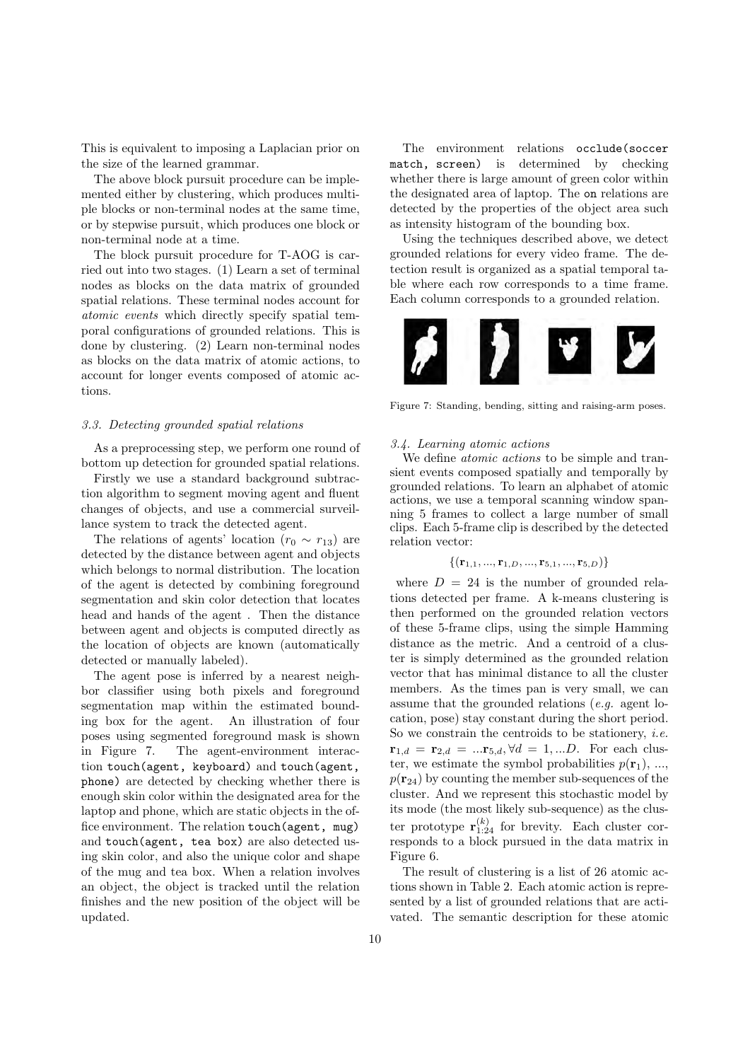This is equivalent to imposing a Laplacian prior on the size of the learned grammar.

The above block pursuit procedure can be implemented either by clustering, which produces multiple blocks or non-terminal nodes at the same time, or by stepwise pursuit, which produces one block or non-terminal node at a time.

The block pursuit procedure for T-AOG is carried out into two stages. (1) Learn a set of terminal nodes as blocks on the data matrix of grounded spatial relations. These terminal nodes account for atomic events which directly specify spatial temporal configurations of grounded relations. This is done by clustering. (2) Learn non-terminal nodes as blocks on the data matrix of atomic actions, to account for longer events composed of atomic actions.

# 3.3. Detecting grounded spatial relations

As a preprocessing step, we perform one round of bottom up detection for grounded spatial relations.

Firstly we use a standard background subtraction algorithm to segment moving agent and fluent changes of objects, and use a commercial surveillance system to track the detected agent.

The relations of agents' location  $(r_0 \sim r_{13})$  are detected by the distance between agent and objects which belongs to normal distribution. The location of the agent is detected by combining foreground segmentation and skin color detection that locates head and hands of the agent . Then the distance between agent and objects is computed directly as the location of objects are known (automatically detected or manually labeled).

The agent pose is inferred by a nearest neighbor classifier using both pixels and foreground segmentation map within the estimated bounding box for the agent. An illustration of four poses using segmented foreground mask is shown in Figure 7. The agent-environment interaction touch(agent, keyboard) and touch(agent, phone) are detected by checking whether there is enough skin color within the designated area for the laptop and phone, which are static objects in the office environment. The relation touch(agent, mug) and touch(agent, tea box) are also detected using skin color, and also the unique color and shape of the mug and tea box. When a relation involves an object, the object is tracked until the relation finishes and the new position of the object will be updated.

The environment relations occlude(soccer match, screen) is determined by checking whether there is large amount of green color within the designated area of laptop. The on relations are detected by the properties of the object area such as intensity histogram of the bounding box.

Using the techniques described above, we detect grounded relations for every video frame. The detection result is organized as a spatial temporal table where each row corresponds to a time frame. Each column corresponds to a grounded relation.



Figure 7: Standing, bending, sitting and raising-arm poses.

#### 3.4. Learning atomic actions

We define *atomic actions* to be simple and transient events composed spatially and temporally by grounded relations. To learn an alphabet of atomic actions, we use a temporal scanning window spanning 5 frames to collect a large number of small clips. Each 5-frame clip is described by the detected relation vector:

$$
\{({\bf r}_{1,1},...,{\bf r}_{1,D},...,{\bf r}_{5,1},...,{\bf r}_{5,D})\}
$$

where  $D = 24$  is the number of grounded relations detected per frame. A k-means clustering is then performed on the grounded relation vectors of these 5-frame clips, using the simple Hamming distance as the metric. And a centroid of a cluster is simply determined as the grounded relation vector that has minimal distance to all the cluster members. As the times pan is very small, we can assume that the grounded relations (e.g. agent location, pose) stay constant during the short period. So we constrain the centroids to be stationery, i.e.  ${\bf r}_{1,d} = {\bf r}_{2,d} = ... {\bf r}_{5,d}, \forall d = 1,...D.$  For each cluster, we estimate the symbol probabilities  $p(\mathbf{r}_1), \ldots,$  $p(\mathbf{r}_{24})$  by counting the member sub-sequences of the cluster. And we represent this stochastic model by its mode (the most likely sub-sequence) as the cluster prototype  $\mathbf{r}_{1:24}^{(k)}$  for brevity. Each cluster corresponds to a block pursued in the data matrix in Figure 6.

The result of clustering is a list of 26 atomic actions shown in Table 2. Each atomic action is represented by a list of grounded relations that are activated. The semantic description for these atomic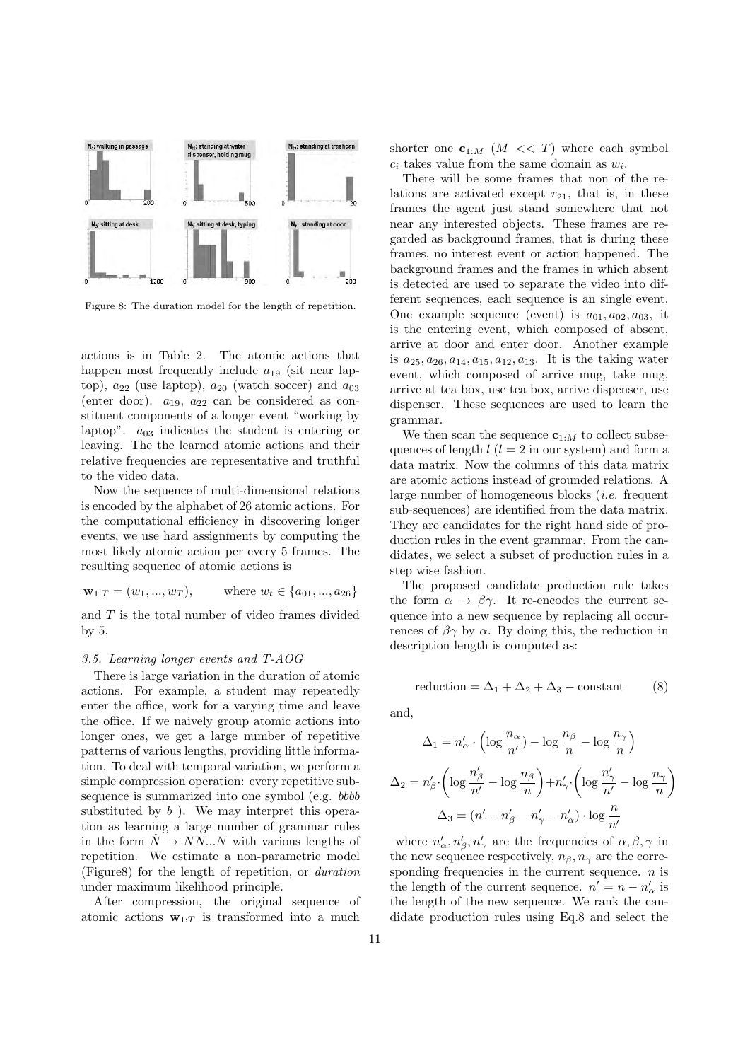

Figure 8: The duration model for the length of repetition.

actions is in Table 2. The atomic actions that happen most frequently include  $a_{19}$  (sit near laptop),  $a_{22}$  (use laptop),  $a_{20}$  (watch soccer) and  $a_{03}$ (enter door).  $a_{19}$ ,  $a_{22}$  can be considered as constituent components of a longer event "working by laptop".  $a_{03}$  indicates the student is entering or leaving. The the learned atomic actions and their relative frequencies are representative and truthful to the video data.

Now the sequence of multi-dimensional relations is encoded by the alphabet of 26 atomic actions. For the computational efficiency in discovering longer events, we use hard assignments by computing the most likely atomic action per every 5 frames. The resulting sequence of atomic actions is

 $\mathbf{w}_{1:T} = (w_1, ..., w_T), \qquad \text{where } w_t \in \{a_{01}, ..., a_{26}\}\$ 

and  $T$  is the total number of video frames divided by 5.

#### 3.5. Learning longer events and T-AOG

There is large variation in the duration of atomic actions. For example, a student may repeatedly enter the office, work for a varying time and leave the office. If we naively group atomic actions into longer ones, we get a large number of repetitive patterns of various lengths, providing little information. To deal with temporal variation, we perform a simple compression operation: every repetitive subsequence is summarized into one symbol (e.g. *bbbb* substituted by  $b$  ). We may interpret this operation as learning a large number of grammar rules in the form  $N \rightarrow NN...N$  with various lengths of repetition. We estimate a non-parametric model (Figure8) for the length of repetition, or duration under maximum likelihood principle.

After compression, the original sequence of atomic actions  $\mathbf{w}_{1:T}$  is transformed into a much

shorter one  $c_{1:M}$   $(M \ll T)$  where each symbol  $c_i$  takes value from the same domain as  $w_i$ .

There will be some frames that non of the relations are activated except  $r_{21}$ , that is, in these frames the agent just stand somewhere that not near any interested objects. These frames are regarded as background frames, that is during these frames, no interest event or action happened. The background frames and the frames in which absent is detected are used to separate the video into different sequences, each sequence is an single event. One example sequence (event) is  $a_{01}, a_{02}, a_{03}$ , it is the entering event, which composed of absent, arrive at door and enter door. Another example is  $a_{25}, a_{26}, a_{14}, a_{15}, a_{12}, a_{13}$ . It is the taking water event, which composed of arrive mug, take mug, arrive at tea box, use tea box, arrive dispenser, use dispenser. These sequences are used to learn the grammar.

We then scan the sequence  $c_{1:M}$  to collect subsequences of length  $l (l = 2$  in our system) and form a data matrix. Now the columns of this data matrix are atomic actions instead of grounded relations. A large number of homogeneous blocks  $(i.e.$  frequent sub-sequences) are identified from the data matrix. They are candidates for the right hand side of production rules in the event grammar. From the candidates, we select a subset of production rules in a step wise fashion.

The proposed candidate production rule takes the form  $\alpha \rightarrow \beta \gamma$ . It re-encodes the current sequence into a new sequence by replacing all occurrences of  $\beta\gamma$  by  $\alpha$ . By doing this, the reduction in description length is computed as:

$$
reduction = \Delta_1 + \Delta_2 + \Delta_3 - constant \tag{8}
$$

and,

$$
\Delta_1 = n'_\alpha \cdot \left( \log \frac{n_\alpha}{n'} \right) - \log \frac{n_\beta}{n} - \log \frac{n_\gamma}{n} \right)
$$

$$
\Delta_2 = n'_\beta \cdot \left( \log \frac{n'_\beta}{n'} - \log \frac{n_\beta}{n} \right) + n'_\gamma \cdot \left( \log \frac{n'_\gamma}{n'} - \log \frac{n_\gamma}{n} \right)
$$

$$
\Delta_3 = (n' - n'_\beta - n'_\gamma - n'_\alpha) \cdot \log \frac{n}{n'}
$$

where  $n'_{\alpha}, n'_{\beta}, n'_{\gamma}$  are the frequencies of  $\alpha, \beta, \gamma$  in the new sequence respectively,  $n_{\beta}, n_{\gamma}$  are the corresponding frequencies in the current sequence.  $n$  is the length of the current sequence.  $n' = n - n'_\alpha$  is the length of the new sequence. We rank the candidate production rules using Eq.8 and select the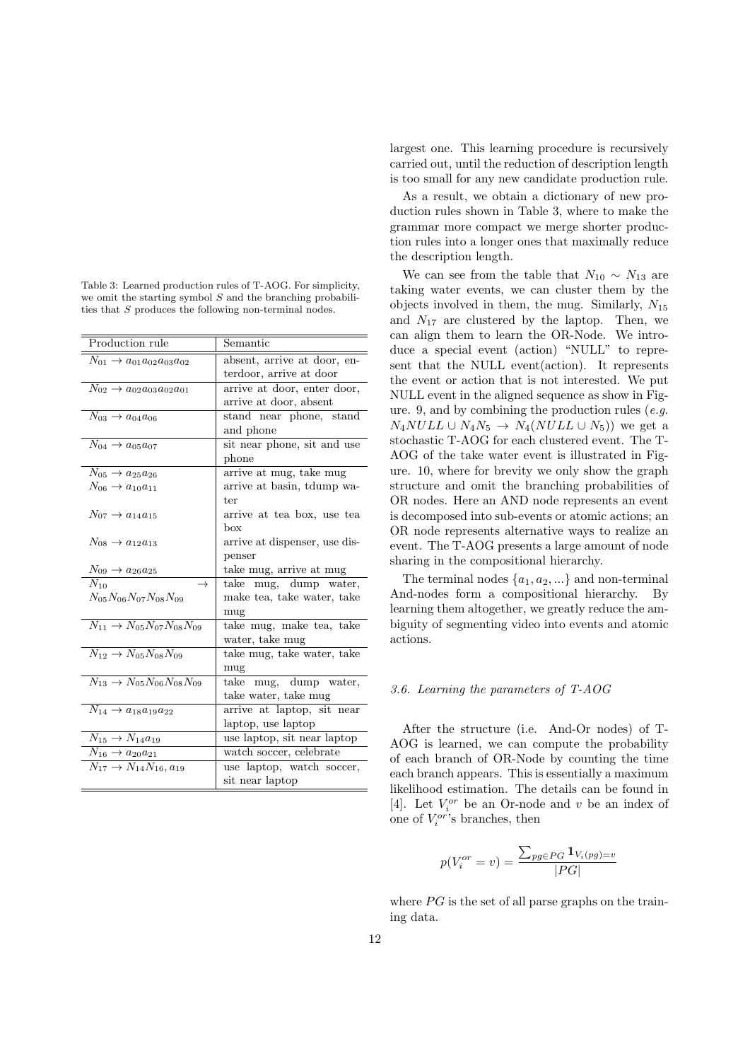Table 3: Learned production rules of T-AOG. For simplicity, we omit the starting symbol  $S$  and the branching probabilities that  $S$  produces the following non-terminal nodes.

| Production rule                                  | Semantic                      |
|--------------------------------------------------|-------------------------------|
| $N_{01} \rightarrow a_{01}a_{02}a_{03}a_{02}$    | absent, arrive at door, en-   |
|                                                  | terdoor, arrive at door       |
| $N_{02} \rightarrow a_{02} a_{03} a_{02} a_{01}$ | arrive at door, enter door,   |
|                                                  | arrive at door, absent        |
| $N_{03} \to a_{04} a_{06}$                       | stand near phone, stand       |
|                                                  | and phone                     |
| $N_{04} \rightarrow a_{05}a_{07}$                | sit near phone, sit and use   |
|                                                  | phone                         |
| $N_{05} \rightarrow a_{25} a_{26}$               | arrive at mug, take mug       |
| $N_{06} \to a_{10} a_{11}$                       | arrive at basin, tdump wa-    |
|                                                  | ter                           |
| $N_{07} \rightarrow a_{14}a_{15}$                | arrive at tea box, use tea    |
|                                                  | box                           |
| $N_{08} \to a_{12} a_{13}$                       | arrive at dispenser, use dis- |
|                                                  | penser                        |
| $N_{09} \rightarrow a_{26}a_{25}$                | take mug, arrive at mug       |
| $N_{10}$<br>→                                    | take mug, dump water,         |
| $N_{05}N_{06}N_{07}N_{08}N_{09}$                 | make tea, take water, take    |
|                                                  | mug                           |
| $N_{11} \rightarrow N_{05} N_{07} N_{08} N_{09}$ | take mug, make tea, take      |
|                                                  | water, take mug               |
| $N_{12} \rightarrow N_{05} N_{08} N_{09}$        | take mug, take water, take    |
|                                                  | mug                           |
| $N_{13} \rightarrow N_{05} N_{06} N_{08} N_{09}$ | take mug, dump water,         |
|                                                  | take water, take mug          |
| $N_{14} \rightarrow a_{18}a_{19}a_{22}$          | arrive at laptop, sit near    |
|                                                  | laptop, use laptop            |
| $N_{15} \to N_{14} a_{19}$                       | use laptop, sit near laptop   |
| $N_{16} \to a_{20} a_{21}$                       | watch soccer, celebrate       |
| $N_{17} \rightarrow N_{14} N_{16}, a_{19}$       | use laptop, watch soccer,     |
|                                                  | sit near laptop               |

largest one. This learning procedure is recursively carried out, until the reduction of description length is too small for any new candidate production rule.

As a result, we obtain a dictionary of new production rules shown in Table 3, where to make the grammar more compact we merge shorter production rules into a longer ones that maximally reduce the description length.

We can see from the table that  $N_{10} \sim N_{13}$  are taking water events, we can cluster them by the objects involved in them, the mug. Similarly,  $N_{15}$ and  $N_{17}$  are clustered by the laptop. Then, we can align them to learn the OR-Node. We introduce a special event (action) "NULL" to represent that the NULL event(action). It represents the event or action that is not interested. We put NULL event in the aligned sequence as show in Figure. 9, and by combining the production rules  $(e.g.,)$  $N_4NULL \cup N_4N_5 \rightarrow N_4(NULL \cup N_5))$  we get a stochastic T-AOG for each clustered event. The T-AOG of the take water event is illustrated in Figure. 10, where for brevity we only show the graph structure and omit the branching probabilities of OR nodes. Here an AND node represents an event is decomposed into sub-events or atomic actions; an OR node represents alternative ways to realize an event. The T-AOG presents a large amount of node sharing in the compositional hierarchy.

The terminal nodes  $\{a_1, a_2, ...\}$  and non-terminal And-nodes form a compositional hierarchy. By learning them altogether, we greatly reduce the ambiguity of segmenting video into events and atomic actions.

# 3.6. Learning the parameters of T-AOG

After the structure (i.e. And-Or nodes) of T-AOG is learned, we can compute the probability of each branch of OR-Node by counting the time each branch appears. This is essentially a maximum likelihood estimation. The details can be found in [4]. Let  $V_i^{or}$  be an Or-node and v be an index of one of  $V_i^{or}$ 's branches, then

$$
p(V_i^{or} = v) = \frac{\sum_{pg \in PG} \mathbf{1}_{V_i(pg) = v}}{|PG|}
$$

where  $PG$  is the set of all parse graphs on the training data.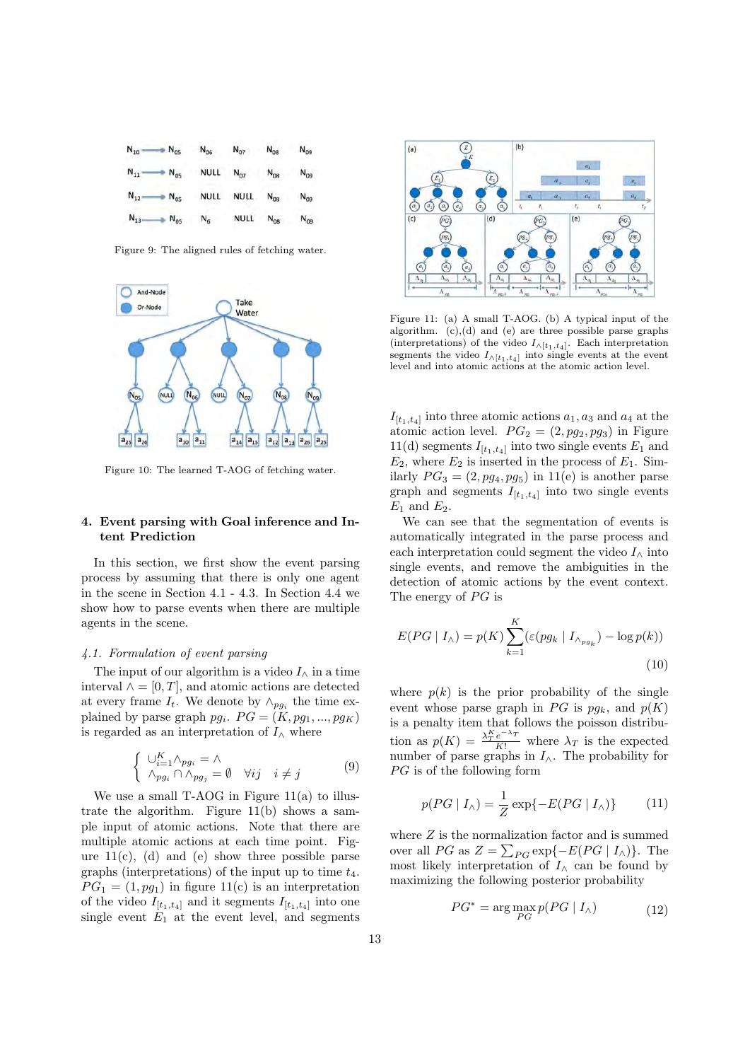

Figure 9: The aligned rules of fetching water.



Figure 10: The learned T-AOG of fetching water.

# 4. Event parsing with Goal inference and Intent Prediction

In this section, we first show the event parsing process by assuming that there is only one agent in the scene in Section 4.1 - 4.3. In Section 4.4 we show how to parse events when there are multiple agents in the scene.

# 4.1. Formulation of event parsing

The input of our algorithm is a video  $I_0$  in a time interval  $\wedge = [0, T]$ , and atomic actions are detected at every frame  $I_t$ . We denote by  $\wedge_{pg_i}$  the time explained by parse graph  $pg_i$ .  $PG = (K, pg_1, ..., pg_K)$ is regarded as an interpretation of  $I_{\wedge}$  where

$$
\begin{cases} \cup_{i=1}^{K} \wedge_{pg_i} = \wedge \\ \wedge_{pg_i} \cap \wedge_{pg_j} = \emptyset \quad \forall ij \quad i \neq j \end{cases} \tag{9}
$$

We use a small T-AOG in Figure 11(a) to illustrate the algorithm. Figure 11(b) shows a sample input of atomic actions. Note that there are multiple atomic actions at each time point. Figure  $11(c)$ , (d) and (e) show three possible parse graphs (interpretations) of the input up to time  $t_4$ .  $PG_1 = (1, pg_1)$  in figure 11(c) is an interpretation of the video  $I_{[t_1,t_4]}$  and it segments  $I_{[t_1,t_4]}$  into one single event  $E_1$  at the event level, and segments



Figure 11: (a) A small T-AOG. (b) A typical input of the algorithm. (c),(d) and (e) are three possible parse graphs (interpretations) of the video  $I_{\wedge [t_1, t_4]}$ . Each interpretation segments the video  $I_{\wedge [t_1,t_4]}$  into single events at the event level and into atomic actions at the atomic action level.

 $I_{[t_1,t_4]}$  into three atomic actions  $a_1, a_3$  and  $a_4$  at the atomic action level.  $PG_2 = (2,pg_2,pg_3)$  in Figure 11(d) segments  $I_{[t_1,t_4]}$  into two single events  $E_1$  and  $E_2$ , where  $E_2$  is inserted in the process of  $E_1$ . Similarly  $PG_3 = (2, pg_4, pg_5)$  in 11(e) is another parse graph and segments  $I_{[t_1,t_4]}$  into two single events  $E_1$  and  $E_2$ .

We can see that the segmentation of events is automatically integrated in the parse process and each interpretation could segment the video  $I_0$  into single events, and remove the ambiguities in the detection of atomic actions by the event context. The energy of  $PG$  is

$$
E(PG \mid I_{\wedge}) = p(K) \sum_{k=1}^{K} (\varepsilon(pg_k \mid I_{\wedge_{pg_k}}) - \log p(k))
$$
\n(10)

where  $p(k)$  is the prior probability of the single event whose parse graph in PG is  $pq_k$ , and  $p(K)$ is a penalty item that follows the poisson distribution as  $p(K) = \frac{\lambda_T^K e^{-\lambda_T}}{K!}$  where  $\lambda_T$  is the expected number of parse graphs in  $I_{\wedge}$ . The probability for  $PG$  is of the following form

$$
p(PG \mid I_{\wedge}) = \frac{1}{Z} \exp\{-E(PG \mid I_{\wedge})\} \tag{11}
$$

where  $\boldsymbol{Z}$  is the normalization factor and is summed over all PG as  $Z = \sum_{PG} \exp\{-E(PG \mid I_0)\}.$  The most likely interpretation of  $I_$  can be found by maximizing the following posterior probability

$$
PG^* = \arg\max_{PG} p(PG \mid I_\wedge) \tag{12}
$$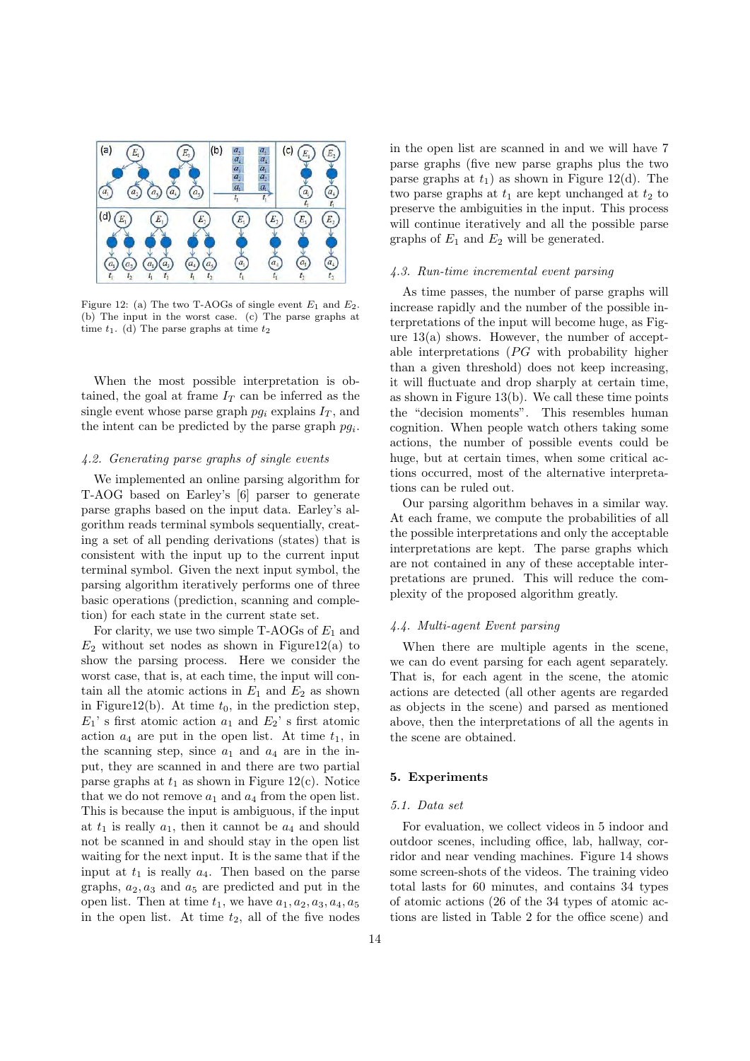

Figure 12: (a) The two T-AOGs of single event  $E_1$  and  $E_2$ . (b) The input in the worst case. (c) The parse graphs at time  $t_1$ . (d) The parse graphs at time  $t_2$ 

When the most possible interpretation is obtained, the goal at frame  $I_T$  can be inferred as the single event whose parse graph  $pg_i$  explains  $I_T$ , and the intent can be predicted by the parse graph  $pg_i$ .

#### 4.2. Generating parse graphs of single events

We implemented an online parsing algorithm for T-AOG based on Earley's [6] parser to generate parse graphs based on the input data. Earley's algorithm reads terminal symbols sequentially, creating a set of all pending derivations (states) that is consistent with the input up to the current input terminal symbol. Given the next input symbol, the parsing algorithm iteratively performs one of three basic operations (prediction, scanning and completion) for each state in the current state set.

For clarity, we use two simple T-AOGs of  $E_1$  and  $E_2$  without set nodes as shown in Figure12(a) to show the parsing process. Here we consider the worst case, that is, at each time, the input will contain all the atomic actions in  $E_1$  and  $E_2$  as shown in Figure12(b). At time  $t_0$ , in the prediction step,  $E_1$ ' s first atomic action  $a_1$  and  $E_2$ ' s first atomic action  $a_4$  are put in the open list. At time  $t_1$ , in the scanning step, since  $a_1$  and  $a_4$  are in the input, they are scanned in and there are two partial parse graphs at  $t_1$  as shown in Figure 12(c). Notice that we do not remove  $a_1$  and  $a_4$  from the open list. This is because the input is ambiguous, if the input at  $t_1$  is really  $a_1$ , then it cannot be  $a_4$  and should not be scanned in and should stay in the open list waiting for the next input. It is the same that if the input at  $t_1$  is really  $a_4$ . Then based on the parse graphs,  $a_2, a_3$  and  $a_5$  are predicted and put in the open list. Then at time  $t_1$ , we have  $a_1, a_2, a_3, a_4, a_5$ in the open list. At time  $t_2$ , all of the five nodes in the open list are scanned in and we will have 7 parse graphs (five new parse graphs plus the two parse graphs at  $t_1$ ) as shown in Figure 12(d). The two parse graphs at  $t_1$  are kept unchanged at  $t_2$  to preserve the ambiguities in the input. This process will continue iteratively and all the possible parse graphs of  $E_1$  and  $E_2$  will be generated.

# 4.3. Run-time incremental event parsing

As time passes, the number of parse graphs will increase rapidly and the number of the possible interpretations of the input will become huge, as Figure 13(a) shows. However, the number of acceptable interpretations  $(PG$  with probability higher than a given threshold) does not keep increasing, it will fluctuate and drop sharply at certain time, as shown in Figure 13(b). We call these time points the "decision moments". This resembles human cognition. When people watch others taking some actions, the number of possible events could be huge, but at certain times, when some critical actions occurred, most of the alternative interpretations can be ruled out.

Our parsing algorithm behaves in a similar way. At each frame, we compute the probabilities of all the possible interpretations and only the acceptable interpretations are kept. The parse graphs which are not contained in any of these acceptable interpretations are pruned. This will reduce the complexity of the proposed algorithm greatly.

# 4.4. Multi-agent Event parsing

When there are multiple agents in the scene, we can do event parsing for each agent separately. That is, for each agent in the scene, the atomic actions are detected (all other agents are regarded as objects in the scene) and parsed as mentioned above, then the interpretations of all the agents in the scene are obtained.

# 5. Experiments

# 5.1. Data set

For evaluation, we collect videos in 5 indoor and outdoor scenes, including office, lab, hallway, corridor and near vending machines. Figure 14 shows some screen-shots of the videos. The training video total lasts for 60 minutes, and contains 34 types of atomic actions (26 of the 34 types of atomic actions are listed in Table 2 for the office scene) and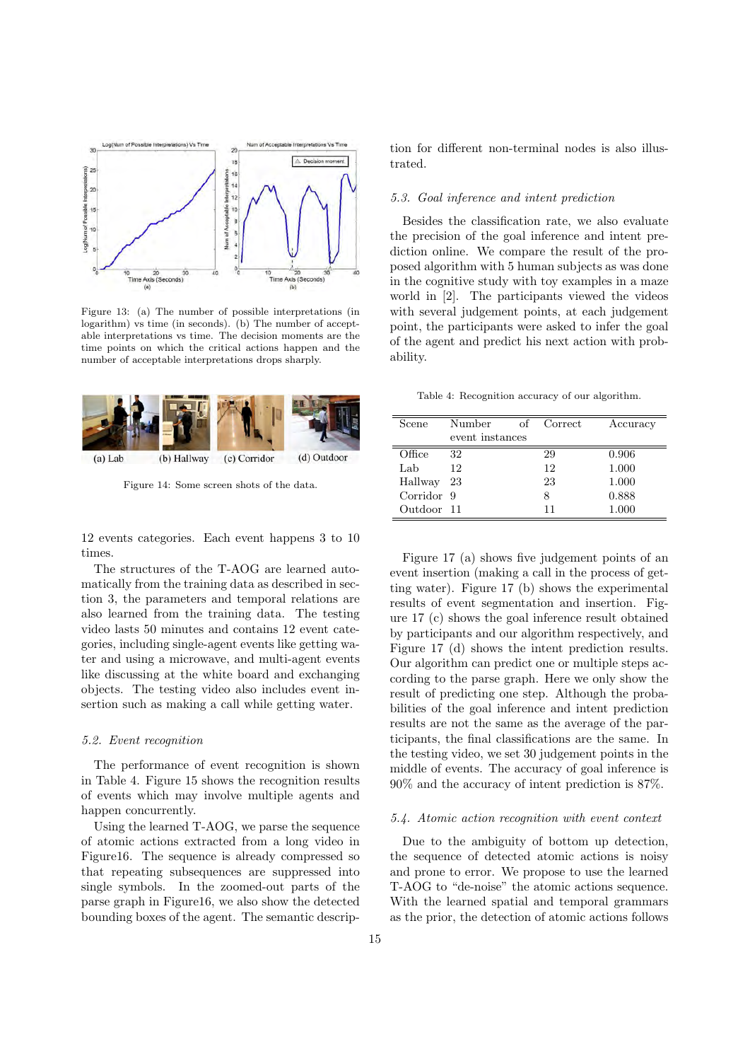

Figure 13: (a) The number of possible interpretations (in logarithm) vs time (in seconds). (b) The number of acceptable interpretations vs time. The decision moments are the time points on which the critical actions happen and the number of acceptable interpretations drops sharply.



Figure 14: Some screen shots of the data.

12 events categories. Each event happens 3 to 10 times.

The structures of the T-AOG are learned automatically from the training data as described in section 3, the parameters and temporal relations are also learned from the training data. The testing video lasts 50 minutes and contains 12 event categories, including single-agent events like getting water and using a microwave, and multi-agent events like discussing at the white board and exchanging objects. The testing video also includes event insertion such as making a call while getting water.

#### 5.2. Event recognition

The performance of event recognition is shown in Table 4. Figure 15 shows the recognition results of events which may involve multiple agents and happen concurrently.

Using the learned T-AOG, we parse the sequence of atomic actions extracted from a long video in Figure16. The sequence is already compressed so that repeating subsequences are suppressed into single symbols. In the zoomed-out parts of the parse graph in Figure16, we also show the detected bounding boxes of the agent. The semantic description for different non-terminal nodes is also illustrated.

### 5.3. Goal inference and intent prediction

Besides the classification rate, we also evaluate the precision of the goal inference and intent prediction online. We compare the result of the proposed algorithm with 5 human subjects as was done in the cognitive study with toy examples in a maze world in [2]. The participants viewed the videos with several judgement points, at each judgement point, the participants were asked to infer the goal of the agent and predict his next action with probability.

Table 4: Recognition accuracy of our algorithm.

| Scene      | Number          | of Correct | Accuracy |
|------------|-----------------|------------|----------|
|            | event instances |            |          |
| Office     | 32              | 29         | 0.906    |
| Lab        | 12              | 12         | 1.000    |
| Hallway    | 23              | 23         | 1.000    |
| Corridor 9 |                 | 8          | 0.888    |
| Outdoor 11 |                 | 11         | 1.000    |

Figure 17 (a) shows five judgement points of an event insertion (making a call in the process of getting water). Figure 17 (b) shows the experimental results of event segmentation and insertion. Figure 17 (c) shows the goal inference result obtained by participants and our algorithm respectively, and Figure 17 (d) shows the intent prediction results. Our algorithm can predict one or multiple steps according to the parse graph. Here we only show the result of predicting one step. Although the probabilities of the goal inference and intent prediction results are not the same as the average of the participants, the final classifications are the same. In the testing video, we set 30 judgement points in the middle of events. The accuracy of goal inference is 90% and the accuracy of intent prediction is 87%.

### 5.4. Atomic action recognition with event context

Due to the ambiguity of bottom up detection, the sequence of detected atomic actions is noisy and prone to error. We propose to use the learned T-AOG to "de-noise" the atomic actions sequence. With the learned spatial and temporal grammars as the prior, the detection of atomic actions follows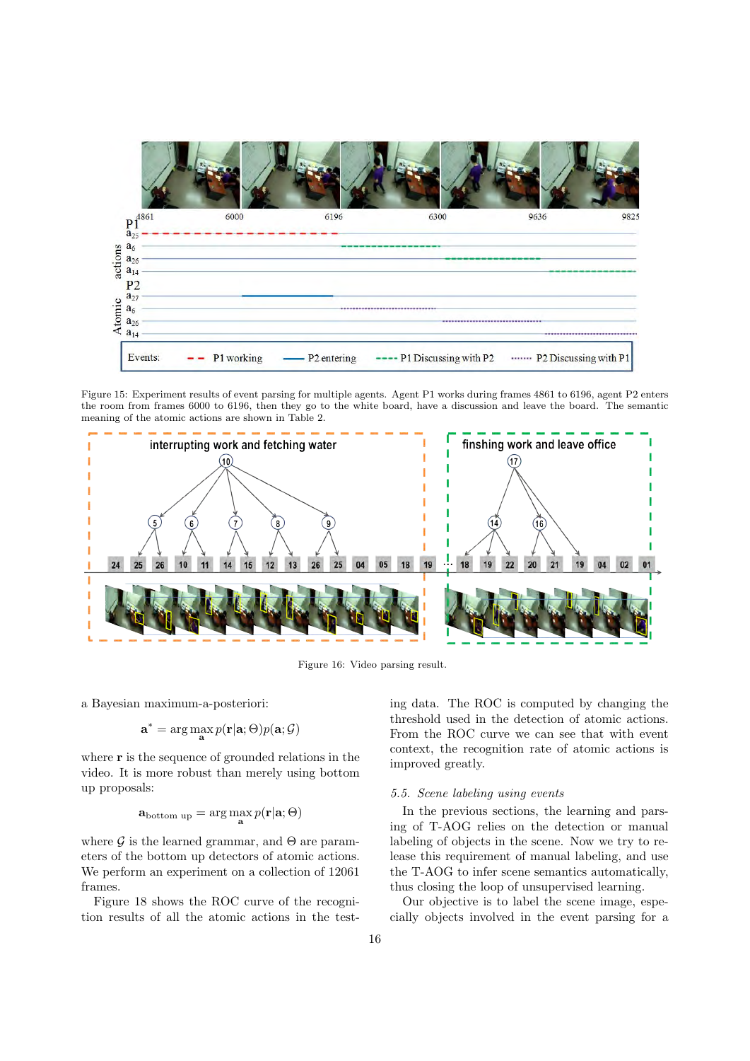

Figure 15: Experiment results of event parsing for multiple agents. Agent P1 works during frames 4861 to 6196, agent P2 enters the room from frames 6000 to 6196, then they go to the white board, have a discussion and leave the board. The semantic meaning of the atomic actions are shown in Table 2.



Figure 16: Video parsing result.

a Bayesian maximum-a-posteriori:

$$
\mathbf{a}^* = \arg\max_{\mathbf{a}} p(\mathbf{r}|\mathbf{a}; \Theta) p(\mathbf{a}; \mathcal{G})
$$

where r is the sequence of grounded relations in the video. It is more robust than merely using bottom up proposals:

$$
\mathbf{a}_{\text{bottom up}} = \arg\max_{\mathbf{a}} p(\mathbf{r}|\mathbf{a}; \Theta)
$$

where  $\mathcal G$  is the learned grammar, and  $\Theta$  are parameters of the bottom up detectors of atomic actions. We perform an experiment on a collection of 12061 frames.

Figure 18 shows the ROC curve of the recognition results of all the atomic actions in the testing data. The ROC is computed by changing the threshold used in the detection of atomic actions. From the ROC curve we can see that with event context, the recognition rate of atomic actions is improved greatly.

# 5.5. Scene labeling using events

In the previous sections, the learning and parsing of T-AOG relies on the detection or manual labeling of objects in the scene. Now we try to release this requirement of manual labeling, and use the T-AOG to infer scene semantics automatically, thus closing the loop of unsupervised learning.

Our objective is to label the scene image, especially objects involved in the event parsing for a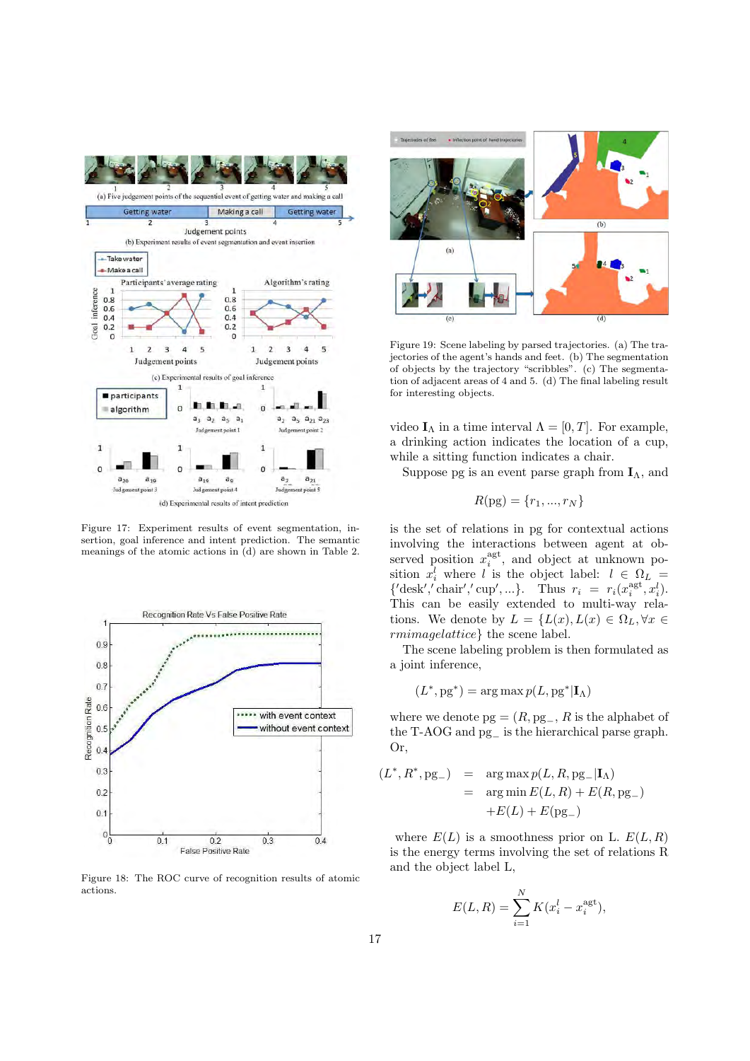

Figure 17: Experiment results of event segmentation, insertion, goal inference and intent prediction. The semantic meanings of the atomic actions in (d) are shown in Table 2.



Figure 18: The ROC curve of recognition results of atomic actions.



Figure 19: Scene labeling by parsed trajectories. (a) The trajectories of the agent's hands and feet. (b) The segmentation of objects by the trajectory "scribbles". (c) The segmentation of adjacent areas of 4 and 5. (d) The final labeling result for interesting objects.

video  $I_{\Lambda}$  in a time interval  $\Lambda = [0, T]$ . For example, a drinking action indicates the location of a cup, while a sitting function indicates a chair.

Suppose pg is an event parse graph from  $\mathbf{I}_{\Lambda}$ , and

$$
R(\text{pg}) = \{r_1, ..., r_N\}
$$

is the set of relations in pg for contextual actions involving the interactions between agent at observed position  $x_i^{\text{agt}}$ , and object at unknown position  $x_i^l$  where l is the object label:  $l \in \Omega_L$  =  $\{\text{''\text{desk}'', \text{'chair}', \text{cup}', \ldots\}. \quad \text{Thus } r_i = r_i(x_i^{\text{agt}}, x_i^l).$ This can be easily extended to multi-way relations. We denote by  $L = \{L(x), L(x) \in \Omega_L, \forall x \in$ rmimagelattice} the scene label.

The scene labeling problem is then formulated as a joint inference,

$$
(L^*, \text{pg}^*) = \arg \max p(L, \text{pg}^* | \mathbf{I}_{\Lambda})
$$

where we denote  $pg = (R, pg_-, R)$  is the alphabet of the T-AOG and pg<sup>−</sup> is the hierarchical parse graph. Or,

$$
(L^*, R^*, pg_-) = \arg \max p(L, R, pg_- | \mathbf{I}_{\Lambda})
$$
  
= 
$$
\arg \min E(L, R) + E(R, pg_-)
$$
  
+
$$
E(L) + E(pg_-)
$$

where  $E(L)$  is a smoothness prior on L.  $E(L, R)$ is the energy terms involving the set of relations R and the object label L,

$$
E(L, R) = \sum_{i=1}^{N} K(x_i^l - x_i^{\text{agt}}),
$$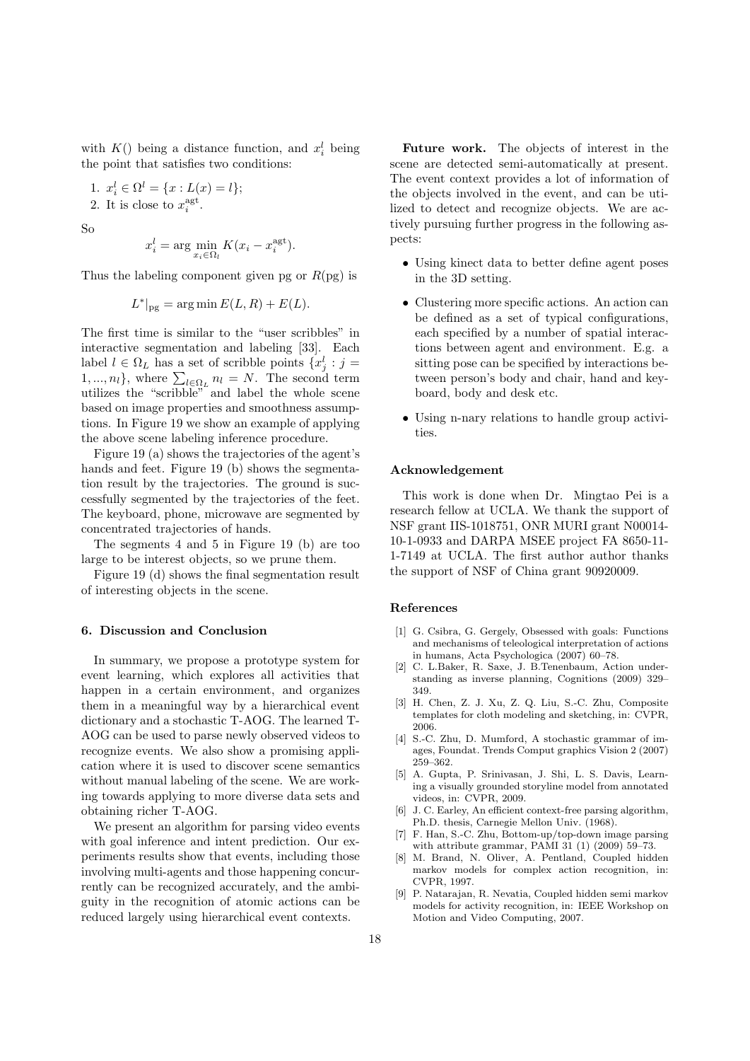with  $K()$  being a distance function, and  $x_i^l$  being the point that satisfies two conditions:

1. 
$$
x_i^l \in \Omega^l = \{x : L(x) = l\};
$$
  
2. It is close to  $x_i^{\text{agt}}$ .

So

$$
x_i^l = \arg\min_{x_i \in \Omega_l} K(x_i - x_i^{\text{agt}}).
$$

Thus the labeling component given pg or  $R(pg)$  is

$$
L^*|_{\text{pg}} = \arg\min E(L, R) + E(L).
$$

The first time is similar to the "user scribbles" in interactive segmentation and labeling [33]. Each label  $l \in \Omega_L$  has a set of scribble points  $\{x_j^l : j =$  $1, ..., n_l$ , where  $\sum_{l \in \Omega_L} n_l = N$ . The second term utilizes the "scribble" and label the whole scene based on image properties and smoothness assumptions. In Figure 19 we show an example of applying the above scene labeling inference procedure.

Figure 19 (a) shows the trajectories of the agent's hands and feet. Figure 19 (b) shows the segmentation result by the trajectories. The ground is successfully segmented by the trajectories of the feet. The keyboard, phone, microwave are segmented by concentrated trajectories of hands.

The segments 4 and 5 in Figure 19 (b) are too large to be interest objects, so we prune them.

Figure 19 (d) shows the final segmentation result of interesting objects in the scene.

# 6. Discussion and Conclusion

In summary, we propose a prototype system for event learning, which explores all activities that happen in a certain environment, and organizes them in a meaningful way by a hierarchical event dictionary and a stochastic T-AOG. The learned T-AOG can be used to parse newly observed videos to recognize events. We also show a promising application where it is used to discover scene semantics without manual labeling of the scene. We are working towards applying to more diverse data sets and obtaining richer T-AOG.

We present an algorithm for parsing video events with goal inference and intent prediction. Our experiments results show that events, including those involving multi-agents and those happening concurrently can be recognized accurately, and the ambiguity in the recognition of atomic actions can be reduced largely using hierarchical event contexts.

Future work. The objects of interest in the scene are detected semi-automatically at present. The event context provides a lot of information of the objects involved in the event, and can be utilized to detect and recognize objects. We are actively pursuing further progress in the following aspects:

- Using kinect data to better define agent poses in the 3D setting.
- Clustering more specific actions. An action can be defined as a set of typical configurations, each specified by a number of spatial interactions between agent and environment. E.g. a sitting pose can be specified by interactions between person's body and chair, hand and keyboard, body and desk etc.
- Using n-nary relations to handle group activities.

# Acknowledgement

This work is done when Dr. Mingtao Pei is a research fellow at UCLA. We thank the support of NSF grant IIS-1018751, ONR MURI grant N00014- 10-1-0933 and DARPA MSEE project FA 8650-11- 1-7149 at UCLA. The first author author thanks the support of NSF of China grant 90920009.

# References

- [1] G. Csibra, G. Gergely, Obsessed with goals: Functions and mechanisms of teleological interpretation of actions in humans, Acta Psychologica (2007) 60–78.
- [2] C. L.Baker, R. Saxe, J. B.Tenenbaum, Action understanding as inverse planning, Cognitions (2009) 329– 349.
- [3] H. Chen, Z. J. Xu, Z. Q. Liu, S.-C. Zhu, Composite templates for cloth modeling and sketching, in: CVPR, 2006.
- [4] S.-C. Zhu, D. Mumford, A stochastic grammar of images, Foundat. Trends Comput graphics Vision 2 (2007) 259–362.
- [5] A. Gupta, P. Srinivasan, J. Shi, L. S. Davis, Learning a visually grounded storyline model from annotated videos, in: CVPR, 2009.
- [6] J. C. Earley, An efficient context-free parsing algorithm, Ph.D. thesis, Carnegie Mellon Univ. (1968).
- [7] F. Han, S.-C. Zhu, Bottom-up/top-down image parsing with attribute grammar, PAMI 31 (1) (2009) 59–73.
- [8] M. Brand, N. Oliver, A. Pentland, Coupled hidden markov models for complex action recognition, in: CVPR, 1997.
- [9] P. Natarajan, R. Nevatia, Coupled hidden semi markov models for activity recognition, in: IEEE Workshop on Motion and Video Computing, 2007.